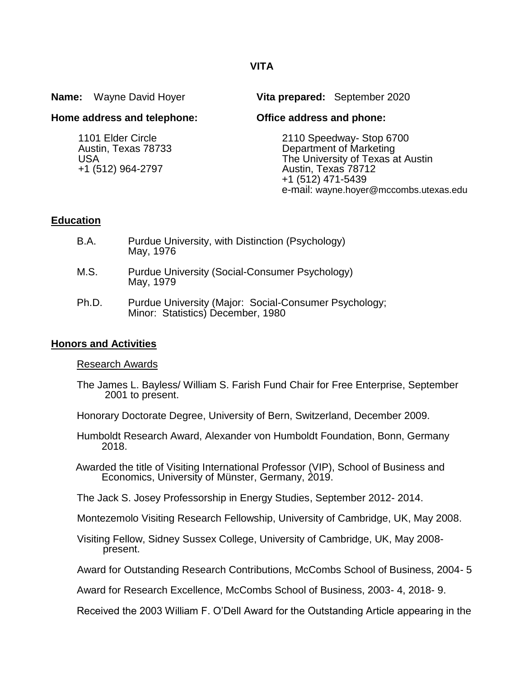|                             | <b>Name:</b> Wayne David Hoyer                                              |                                                                                                                                                                                | Vita prepared: September 2020 |
|-----------------------------|-----------------------------------------------------------------------------|--------------------------------------------------------------------------------------------------------------------------------------------------------------------------------|-------------------------------|
| Home address and telephone: |                                                                             | Office address and phone:                                                                                                                                                      |                               |
|                             | 1101 Elder Circle<br>Austin, Texas 78733<br><b>USA</b><br>+1 (512) 964-2797 | 2110 Speedway- Stop 6700<br>Department of Marketing<br>The University of Texas at Austin<br>Austin, Texas 78712<br>+1 (512) 471-5439<br>e-mail: wayne.hoyer@mccombs.utexas.edu |                               |

## **Education**

| B.A.  | Purdue University, with Distinction (Psychology)<br>May, 1976                              |  |
|-------|--------------------------------------------------------------------------------------------|--|
| M.S.  | Purdue University (Social-Consumer Psychology)<br>May, 1979                                |  |
| Ph.D. | Purdue University (Major: Social-Consumer Psychology;<br>Minor: Statistics) December, 1980 |  |

## **Honors and Activities**

### Research Awards

- The James L. Bayless/ William S. Farish Fund Chair for Free Enterprise, September 2001 to present.
- Honorary Doctorate Degree, University of Bern, Switzerland, December 2009.
- Humboldt Research Award, Alexander von Humboldt Foundation, Bonn, Germany 2018.
- Awarded the title of Visiting International Professor (VIP), School of Business and Economics, University of Münster, Germany, 2019.

The Jack S. Josey Professorship in Energy Studies, September 2012- 2014.

Montezemolo Visiting Research Fellowship, University of Cambridge, UK, May 2008.

- Visiting Fellow, Sidney Sussex College, University of Cambridge, UK, May 2008 present.
- Award for Outstanding Research Contributions, McCombs School of Business, 2004- 5

Award for Research Excellence, McCombs School of Business, 2003- 4, 2018- 9.

Received the 2003 William F. O'Dell Award for the Outstanding Article appearing in the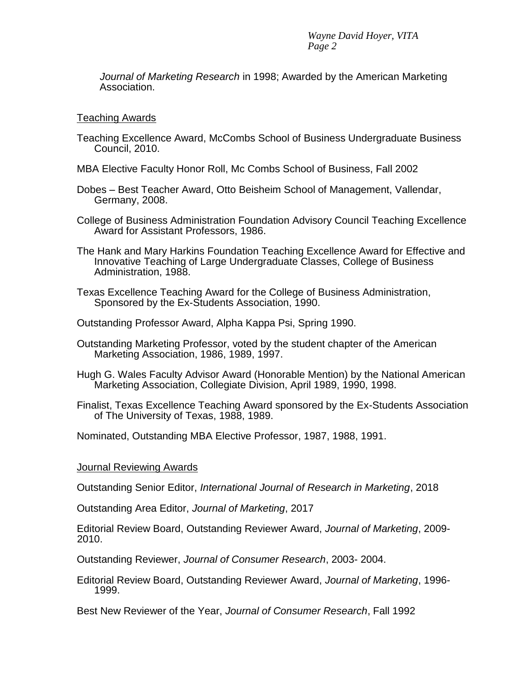*Journal of Marketing Research* in 1998; Awarded by the American Marketing Association.

#### Teaching Awards

- Teaching Excellence Award, McCombs School of Business Undergraduate Business Council, 2010.
- MBA Elective Faculty Honor Roll, Mc Combs School of Business, Fall 2002
- Dobes Best Teacher Award, Otto Beisheim School of Management, Vallendar, Germany, 2008.
- College of Business Administration Foundation Advisory Council Teaching Excellence Award for Assistant Professors, 1986.
- The Hank and Mary Harkins Foundation Teaching Excellence Award for Effective and Innovative Teaching of Large Undergraduate Classes, College of Business Administration, 1988.
- Texas Excellence Teaching Award for the College of Business Administration, Sponsored by the Ex-Students Association, 1990.

Outstanding Professor Award, Alpha Kappa Psi, Spring 1990.

- Outstanding Marketing Professor, voted by the student chapter of the American Marketing Association, 1986, 1989, 1997.
- Hugh G. Wales Faculty Advisor Award (Honorable Mention) by the National American Marketing Association, Collegiate Division, April 1989, 1990, 1998.
- Finalist, Texas Excellence Teaching Award sponsored by the Ex-Students Association of The University of Texas, 1988, 1989.

Nominated, Outstanding MBA Elective Professor, 1987, 1988, 1991.

### Journal Reviewing Awards

Outstanding Senior Editor, *International Journal of Research in Marketing*, 2018

Outstanding Area Editor, *Journal of Marketing*, 2017

Editorial Review Board, Outstanding Reviewer Award, *Journal of Marketing*, 2009- 2010.

Outstanding Reviewer, *Journal of Consumer Research*, 2003- 2004.

Editorial Review Board, Outstanding Reviewer Award, *Journal of Marketing*, 1996- 1999.

Best New Reviewer of the Year, *Journal of Consumer Research*, Fall 1992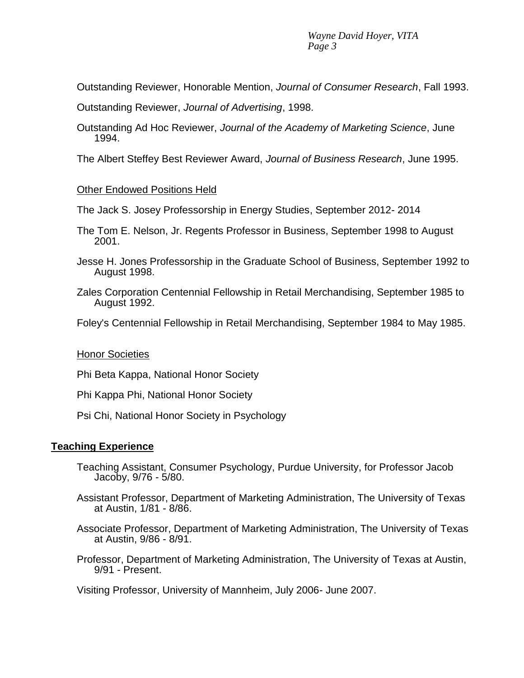Outstanding Reviewer, Honorable Mention, *Journal of Consumer Research*, Fall 1993.

Outstanding Reviewer, *Journal of Advertising*, 1998.

Outstanding Ad Hoc Reviewer, *Journal of the Academy of Marketing Science*, June 1994.

The Albert Steffey Best Reviewer Award, *Journal of Business Research*, June 1995.

# Other Endowed Positions Held

The Jack S. Josey Professorship in Energy Studies, September 2012- 2014

- The Tom E. Nelson, Jr. Regents Professor in Business, September 1998 to August 2001.
- Jesse H. Jones Professorship in the Graduate School of Business, September 1992 to August 1998.
- Zales Corporation Centennial Fellowship in Retail Merchandising, September 1985 to August 1992.

Foley's Centennial Fellowship in Retail Merchandising, September 1984 to May 1985.

# Honor Societies

Phi Beta Kappa, National Honor Society

Phi Kappa Phi, National Honor Society

Psi Chi, National Honor Society in Psychology

# **Teaching Experience**

- Teaching Assistant, Consumer Psychology, Purdue University, for Professor Jacob Jacoby, 9/76 - 5/80.
- Assistant Professor, Department of Marketing Administration, The University of Texas at Austin, 1/81 - 8/86.
- Associate Professor, Department of Marketing Administration, The University of Texas at Austin, 9/86 - 8/91.
- Professor, Department of Marketing Administration, The University of Texas at Austin, 9/91 - Present.

Visiting Professor, University of Mannheim, July 2006- June 2007.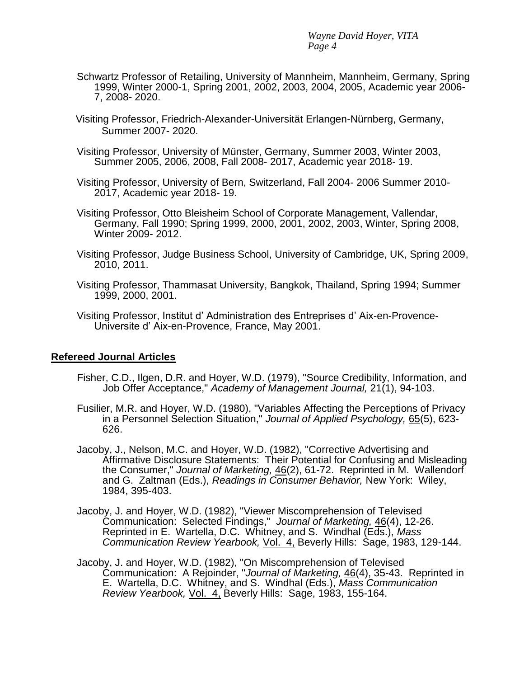- Schwartz Professor of Retailing, University of Mannheim, Mannheim, Germany, Spring 1999, Winter 2000-1, Spring 2001, 2002, 2003, 2004, 2005, Academic year 2006- 7, 2008- 2020.
- Visiting Professor, Friedrich-Alexander-Universität Erlangen-Nürnberg, Germany, Summer 2007- 2020.
- Visiting Professor, University of Münster, Germany, Summer 2003, Winter 2003, Summer 2005, 2006, 2008, Fall 2008- 2017, Academic year 2018- 19.
- Visiting Professor, University of Bern, Switzerland, Fall 2004- 2006 Summer 2010- 2017, Academic year 2018- 19.
- Visiting Professor, Otto Bleisheim School of Corporate Management, Vallendar, Germany, Fall 1990; Spring 1999, 2000, 2001, 2002, 2003, Winter, Spring 2008, Winter 2009- 2012.
- Visiting Professor, Judge Business School, University of Cambridge, UK, Spring 2009, 2010, 2011.
- Visiting Professor, Thammasat University, Bangkok, Thailand, Spring 1994; Summer 1999, 2000, 2001.
- Visiting Professor, Institut d' Administration des Entreprises d' Aix-en-Provence-Universite d' Aix-en-Provence, France, May 2001.

#### **Refereed Journal Articles**

- Fisher, C.D., Ilgen, D.R. and Hoyer, W.D. (1979), "Source Credibility, Information, and Job Offer Acceptance," *Academy of Management Journal,* 21(1), 94-103.
- Fusilier, M.R. and Hoyer, W.D. (1980), "Variables Affecting the Perceptions of Privacy in a Personnel Selection Situation," *Journal of Applied Psychology,* 65(5), 623- 626.
- Jacoby, J., Nelson, M.C. and Hoyer, W.D. (1982), "Corrective Advertising and Affirmative Disclosure Statements: Their Potential for Confusing and Misleading the Consumer," *Journal of Marketing,* 46(2), 61-72. Reprinted in M. Wallendorf and G. Zaltman (Eds.), *Readings in Consumer Behavior,* New York: Wiley, 1984, 395-403.
- Jacoby, J. and Hoyer, W.D. (1982), "Viewer Miscomprehension of Televised Communication: Selected Findings," *Journal of Marketing,* 46(4), 12-26. Reprinted in E. Wartella, D.C. Whitney, and S. Windhal (Eds.), *Mass Communication Review Yearbook,* Vol. 4, Beverly Hills: Sage, 1983, 129-144.
- Jacoby, J. and Hoyer, W.D. (1982), "On Miscomprehension of Televised Communication: A Rejoinder, "*Journal of Marketing,* 46(4), 35-43. Reprinted in E. Wartella, D.C. Whitney, and S. Windhal (Eds.), *Mass Communication Review Yearbook,* Vol. 4, Beverly Hills: Sage, 1983, 155-164.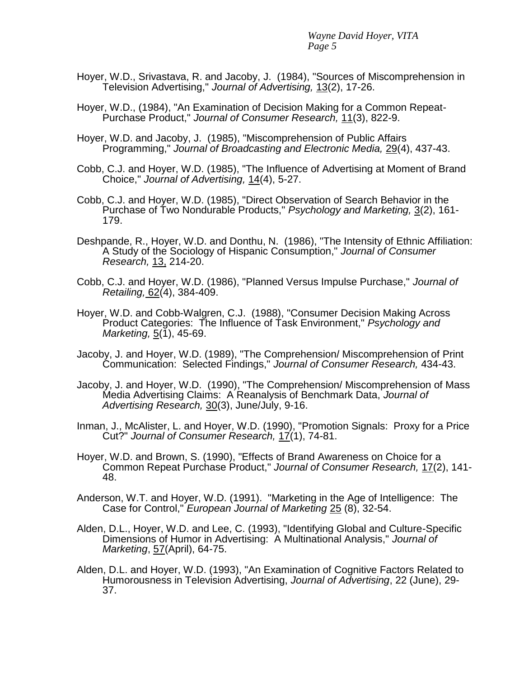- Hoyer, W.D., Srivastava, R. and Jacoby, J. (1984), "Sources of Miscomprehension in Television Advertising," *Journal of Advertising,* 13(2), 17-26.
- Hoyer, W.D., (1984), "An Examination of Decision Making for a Common Repeat-Purchase Product," *Journal of Consumer Research,* 11(3), 822-9.
- Hoyer, W.D. and Jacoby, J. (1985), "Miscomprehension of Public Affairs Programming," *Journal of Broadcasting and Electronic Media,* 29(4), 437-43.
- Cobb, C.J. and Hoyer, W.D. (1985), "The Influence of Advertising at Moment of Brand Choice," *Journal of Advertising,* 14(4), 5-27.
- Cobb, C.J. and Hoyer, W.D. (1985), "Direct Observation of Search Behavior in the Purchase of Two Nondurable Products," *Psychology and Marketing,* 3(2), 161- 179.
- Deshpande, R., Hoyer, W.D. and Donthu, N. (1986), "The Intensity of Ethnic Affiliation: A Study of the Sociology of Hispanic Consumption," *Journal of Consumer Research,* 13, 214-20.
- Cobb, C.J. and Hoyer, W.D. (1986), "Planned Versus Impulse Purchase," *Journal of Retailing,* 62(4), 384-409.
- Hoyer, W.D. and Cobb-Walgren, C.J. (1988), "Consumer Decision Making Across Product Categories: The Influence of Task Environment," *Psychology and Marketing,* 5(1), 45-69.
- Jacoby, J. and Hoyer, W.D. (1989), "The Comprehension/ Miscomprehension of Print Communication: Selected Findings," *Journal of Consumer Research,* 434-43.
- Jacoby, J. and Hoyer, W.D. (1990), "The Comprehension/ Miscomprehension of Mass Media Advertising Claims: A Reanalysis of Benchmark Data, *Journal of Advertising Research,* 30(3), June/July, 9-16.
- Inman, J., McAlister, L. and Hoyer, W.D. (1990), "Promotion Signals: Proxy for a Price Cut?" *Journal of Consumer Research,* 17(1), 74-81.
- Hoyer, W.D. and Brown, S. (1990), "Effects of Brand Awareness on Choice for a Common Repeat Purchase Product," *Journal of Consumer Research,* 17(2), 141- 48.
- Anderson, W.T. and Hoyer, W.D. (1991). "Marketing in the Age of Intelligence: The Case for Control," *European Journal of Marketing* 25 (8), 32-54.
- Alden, D.L., Hoyer, W.D. and Lee, C. (1993), "Identifying Global and Culture-Specific Dimensions of Humor in Advertising: A Multinational Analysis," *Journal of Marketing*, 57(April), 64-75.
- Alden, D.L. and Hoyer, W.D. (1993), "An Examination of Cognitive Factors Related to Humorousness in Television Advertising, *Journal of Advertising*, 22 (June), 29- 37.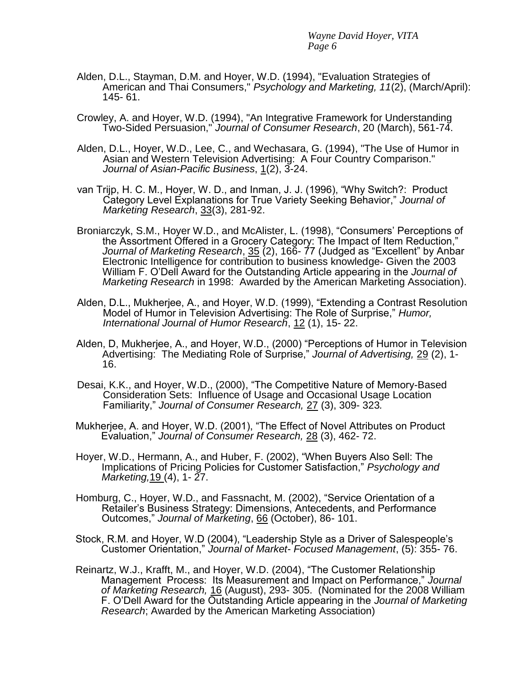- Alden, D.L., Stayman, D.M. and Hoyer, W.D. (1994), "Evaluation Strategies of American and Thai Consumers," *Psychology and Marketing, 11*(2), (March/April): 145- 61.
- Crowley, A. and Hoyer, W.D. (1994), "An Integrative Framework for Understanding Two-Sided Persuasion," *Journal of Consumer Research*, 20 (March), 561-74.
- Alden, D.L., Hoyer, W.D., Lee, C., and Wechasara, G. (1994), "The Use of Humor in Asian and Western Television Advertising: A Four Country Comparison." *Journal of Asian-Pacific Business*, 1(2), 3-24.
- van Trijp, H. C. M., Hoyer, W. D., and Inman, J. J. (1996), "Why Switch?: Product Category Level Explanations for True Variety Seeking Behavior," *Journal of Marketing Research*, 33(3), 281-92.
- Broniarczyk, S.M., Hoyer W.D., and McAlister, L. (1998), "Consumers' Perceptions of the Assortment Offered in a Grocery Category: The Impact of Item Reduction," *Journal of Marketing Research*, 35 (2), 166- 77 (Judged as "Excellent" by Anbar Electronic Intelligence for contribution to business knowledge- Given the 2003 William F. O'Dell Award for the Outstanding Article appearing in the *Journal of Marketing Research* in 1998: Awarded by the American Marketing Association).
- Alden, D.L., Mukherjee, A., and Hoyer, W.D. (1999), "Extending a Contrast Resolution Model of Humor in Television Advertising: The Role of Surprise," *Humor, International Journal of Humor Research*, 12 (1), 15- 22.
- Alden, D, Mukherjee, A., and Hoyer, W.D., (2000) "Perceptions of Humor in Television Advertising: The Mediating Role of Surprise," *Journal of Advertising,* 29 (2), 1- 16.
- Desai, K.K., and Hoyer, W.D., (2000), "The Competitive Nature of Memory-Based Consideration Sets: Influence of Usage and Occasional Usage Location Familiarity," *Journal of Consumer Research,* 27 (3), 309- 323*.*
- Mukherjee, A. and Hoyer, W.D. (2001), "The Effect of Novel Attributes on Product Evaluation," *Journal of Consumer Research,* 28 (3), 462- 72.
- Hoyer, W.D., Hermann, A., and Huber, F. (2002), "When Buyers Also Sell: The Implications of Pricing Policies for Customer Satisfaction," *Psychology and Marketing,*19 (4), 1- 27.
- Homburg, C., Hoyer, W.D., and Fassnacht, M. (2002), "Service Orientation of a Retailer's Business Strategy: Dimensions, Antecedents, and Performance Outcomes," *Journal of Marketing*, 66 (October), 86- 101.
- Stock, R.M. and Hoyer, W.D (2004), "Leadership Style as a Driver of Salespeople's Customer Orientation," *Journal of Market- Focused Management*, (5): 355- 76.
- Reinartz, W.J., Krafft, M., and Hoyer, W.D. (2004), "The Customer Relationship Management Process: Its Measurement and Impact on Performance," *Journal of Marketing Research,* 16 (August), 293- 305. (Nominated for the 2008 William F. O'Dell Award for the Outstanding Article appearing in the *Journal of Marketing Research*; Awarded by the American Marketing Association)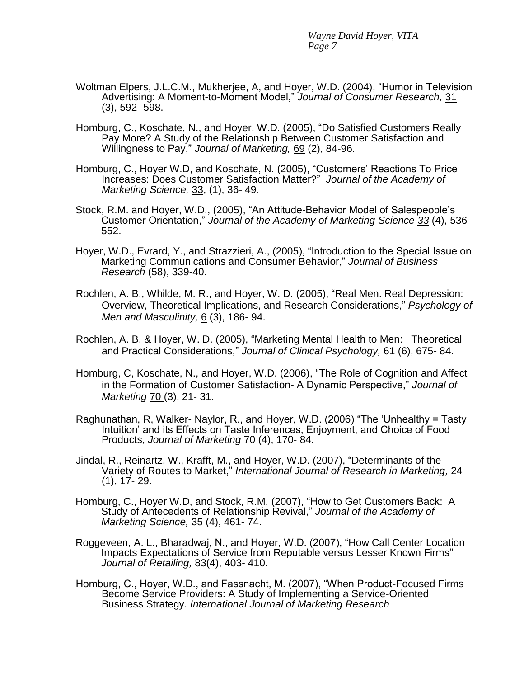- Woltman Elpers, J.L.C.M., Mukherjee, A, and Hoyer, W.D. (2004), "Humor in Television Advertising: A Moment-to-Moment Model," *Journal of Consumer Research,* 31 (3), 592- 598.
- Homburg, C., Koschate, N., and Hoyer, W.D. (2005), "Do Satisfied Customers Really Pay More? A Study of the Relationship Between Customer Satisfaction and Willingness to Pay," *Journal of Marketing,* 69 (2), 84-96.
- Homburg, C., Hoyer W.D, and Koschate, N. (2005), "Customers' Reactions To Price Increases: Does Customer Satisfaction Matter?" *Journal of the Academy of Marketing Science,* 33, (1), 36- 49*.*
- Stock, R.M. and Hoyer, W.D., (2005), "An Attitude-Behavior Model of Salespeople's Customer Orientation," *Journal of the Academy of Marketing Science 33* (4), 536*-* 552.
- Hoyer, W.D., Evrard, Y., and Strazzieri, A., (2005), "Introduction to the Special Issue on Marketing Communications and Consumer Behavior," *Journal of Business Research* (58), 339-40.
- Rochlen, A. B., Whilde, M. R., and Hoyer, W. D. (2005), "Real Men. Real Depression: Overview, Theoretical Implications, and Research Considerations," *Psychology of Men and Masculinity,* 6 (3), 186- 94.
- Rochlen, A. B. & Hoyer, W. D. (2005), "Marketing Mental Health to Men: Theoretical and Practical Considerations," *Journal of Clinical Psychology,* 61 (6), 675- 84.
- Homburg, C, Koschate, N., and Hoyer, W.D. (2006), "The Role of Cognition and Affect in the Formation of Customer Satisfaction- A Dynamic Perspective," *Journal of Marketing* 70 (3), 21- 31.
- Raghunathan, R, Walker- Naylor, R., and Hoyer, W.D. (2006) "The 'Unhealthy = Tasty Intuition' and its Effects on Taste Inferences, Enjoyment, and Choice of Food Products, *Journal of Marketing* 70 (4), 170- 84.
- Jindal, R., Reinartz, W., Krafft, M., and Hoyer, W.D. (2007), "Determinants of the Variety of Routes to Market," *International Journal of Research in Marketing,* 24 (1), 17- 29.
- Homburg, C., Hoyer W.D, and Stock, R.M. (2007), "How to Get Customers Back: A Study of Antecedents of Relationship Revival," *Journal of the Academy of Marketing Science,* 35 (4), 461- 74.
- Roggeveen, A. L., Bharadwaj, N., and Hoyer, W.D. (2007), "How Call Center Location Impacts Expectations of Service from Reputable versus Lesser Known Firms" *Journal of Retailing,* 83(4), 403- 410.
- Homburg, C., Hoyer, W.D., and Fassnacht, M. (2007), "When Product-Focused Firms Become Service Providers: A Study of Implementing a Service-Oriented Business Strategy. *International Journal of Marketing Research*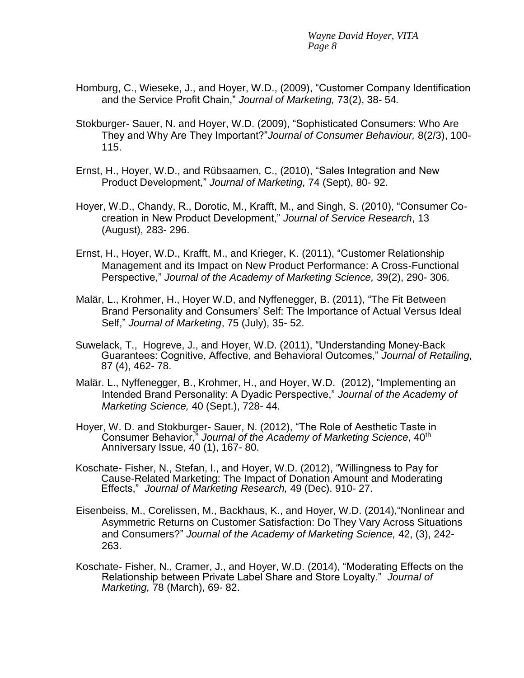- Homburg, C., Wieseke, J., and Hoyer, W.D., (2009), "Customer Company Identification and the Service Profit Chain," *Journal of Marketing,* 73(2), 38- 54*.*
- Stokburger- Sauer, N. and Hoyer, W.D. (2009), "Sophisticated Consumers: Who Are They and Why Are They Important?"*Journal of Consumer Behaviour,* 8(2/3), 100- 115.
- Ernst, H., Hoyer, W.D., and Rübsaamen, C., (2010), "Sales Integration and New Product Development," *Journal of Marketing,* 74 (Sept), 80- 92*.*
- Hoyer, W.D., Chandy, R., Dorotic, M., Krafft, M., and Singh, S. (2010), "Consumer Cocreation in New Product Development," *Journal of Service Research*, 13 (August), 283- 296.
- Ernst, H., Hoyer, W.D., Krafft, M., and Krieger, K. (2011), "Customer Relationship Management and its Impact on New Product Performance: A Cross-Functional Perspective," *Journal of the Academy of Marketing Science,* 39(2), 290- 306*.*
- Malär, L., Krohmer, H., Hoyer W.D, and Nyffenegger, B. (2011), "The Fit Between Brand Personality and Consumers' Self: The Importance of Actual Versus Ideal Self," *Journal of Marketing*, 75 (July), 35- 52.
- Suwelack, T., Hogreve, J., and Hoyer, W.D. (2011), "Understanding Money-Back Guarantees: Cognitive, Affective, and Behavioral Outcomes," *Journal of Retailing,*  87 (4), 462- 78.
- Malär. L., Nyffenegger, B., Krohmer, H., and Hoyer, W.D. (2012), "Implementing an Intended Brand Personality: A Dyadic Perspective," *Journal of the Academy of Marketing Science,* 40 (Sept.), 728- 44*.*
- Hoyer, W. D. and Stokburger- Sauer, N. (2012), "The Role of Aesthetic Taste in Consumer Behavior," *Journal of the Academy of Marketing Science*, 40th Anniversary Issue, 40 (1), 167- 80.
- Koschate- Fisher, N., Stefan, I., and Hoyer, W.D. (2012), "Willingness to Pay for Cause-Related Marketing: The Impact of Donation Amount and Moderating Effects," *Journal of Marketing Research,* 49 (Dec). 910- 27.
- Eisenbeiss, M., Corelissen, M., Backhaus, K., and Hoyer, W.D. (2014),"Nonlinear and Asymmetric Returns on Customer Satisfaction: Do They Vary Across Situations and Consumers?" *Journal of the Academy of Marketing Science,* 42, (3), 242- 263.
- Koschate- Fisher, N., Cramer, J., and Hoyer, W.D. (2014), "Moderating Effects on the Relationship between Private Label Share and Store Loyalty." *Journal of Marketing,* 78 (March), 69- 82.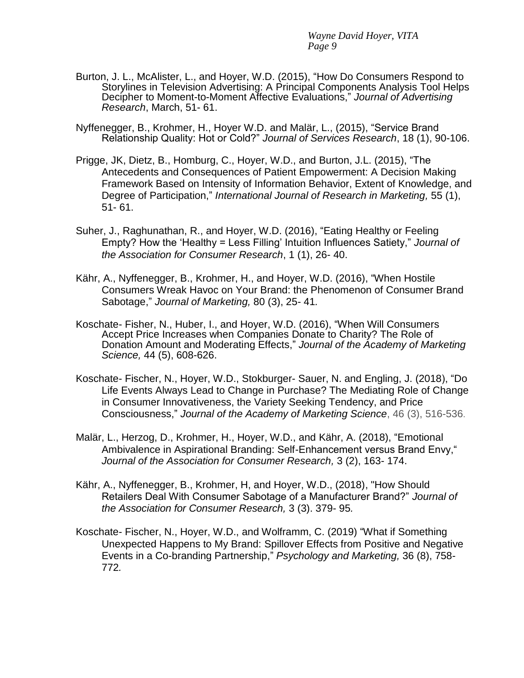- Burton, J. L., McAlister, L., and Hoyer, W.D. (2015), "How Do Consumers Respond to Storylines in Television Advertising: A Principal Components Analysis Tool Helps Decipher to Moment-to-Moment Affective Evaluations," *Journal of Advertising Research*, March, 51- 61.
- Nyffenegger, B., Krohmer, H., Hoyer W.D. and Malär, L., (2015), "Service Brand Relationship Quality: Hot or Cold?" *Journal of Services Research*, 18 (1), 90-106.
- Prigge, JK, Dietz, B., Homburg, C., Hoyer, W.D., and Burton, J.L. (2015), "The Antecedents and Consequences of Patient Empowerment: A Decision Making Framework Based on Intensity of Information Behavior, Extent of Knowledge, and Degree of Participation," *International Journal of Research in Marketing,* 55 (1), 51- 61.
- Suher, J., Raghunathan, R., and Hoyer, W.D. (2016), "Eating Healthy or Feeling Empty? How the 'Healthy = Less Filling' Intuition Influences Satiety," *Journal of the Association for Consumer Research*, 1 (1), 26- 40.
- Kähr, A., Nyffenegger, B., Krohmer, H., and Hoyer, W.D. (2016), "When Hostile Consumers Wreak Havoc on Your Brand: the Phenomenon of Consumer Brand Sabotage," *Journal of Marketing,* 80 (3), 25- 41*.*
- Koschate- Fisher, N., Huber, I., and Hoyer, W.D. (2016), "When Will Consumers Accept Price Increases when Companies Donate to Charity? The Role of Donation Amount and Moderating Effects," *Journal of the Academy of Marketing Science,* 44 (5), 608-626.
- Koschate- Fischer, N., Hoyer, W.D., Stokburger- Sauer, N. and Engling, J. (2018), "Do Life Events Always Lead to Change in Purchase? The Mediating Role of Change in Consumer Innovativeness, the Variety Seeking Tendency, and Price Consciousness," *Journal of the Academy of Marketing Science*, 46 (3), 516-536.
- Malär, L., Herzog, D., Krohmer, H., Hoyer, W.D., and Kähr, A. (2018), "Emotional Ambivalence in Aspirational Branding: Self-Enhancement versus Brand Envy," *Journal of the Association for Consumer Research,* 3 (2), 163- 174.
- Kähr, A., Nyffenegger, B., Krohmer, H, and Hoyer, W.D., (2018), "How Should Retailers Deal With Consumer Sabotage of a Manufacturer Brand?" *Journal of the Association for Consumer Research,* 3 (3). 379- 95*.*
- Koschate- Fischer, N., Hoyer, W.D., and Wolframm, C. (2019) "What if Something Unexpected Happens to My Brand: Spillover Effects from Positive and Negative Events in a Co-branding Partnership," *Psychology and Marketing,* 36 (8), 758- 772*.*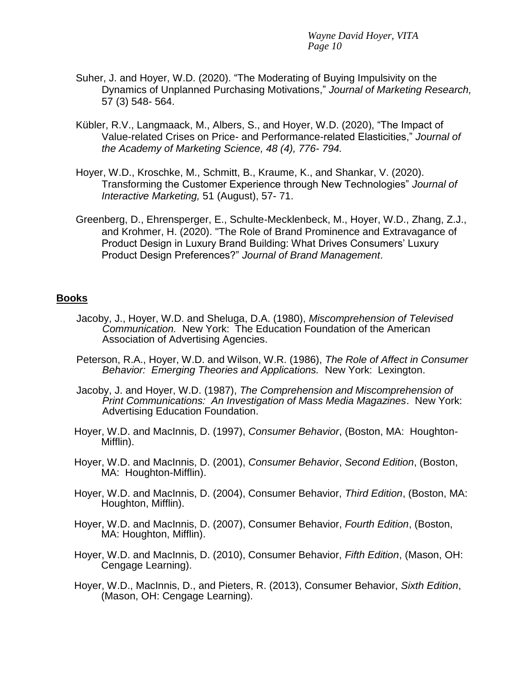- Suher, J. and Hoyer, W.D. (2020). "The Moderating of Buying Impulsivity on the Dynamics of Unplanned Purchasing Motivations," *Journal of Marketing Research,*  57 (3) 548- 564.
- Kübler, R.V., Langmaack, M., Albers, S., and Hoyer, W.D. (2020), "The Impact of Value-related Crises on Price- and Performance-related Elasticities," *Journal of the Academy of Marketing Science, 48 (4), 776- 794.*
- Hoyer, W.D., Kroschke, M., Schmitt, B., Kraume, K., and Shankar, V. (2020). Transforming the Customer Experience through New Technologies" *Journal of Interactive Marketing,* 51 (August), 57- 71.
- Greenberg, D., Ehrensperger, E., Schulte-Mecklenbeck, M., Hoyer, W.D., Zhang, Z.J., and Krohmer, H. (2020). "The Role of Brand Prominence and Extravagance of Product Design in Luxury Brand Building: What Drives Consumers' Luxury Product Design Preferences?" *Journal of Brand Management*.

### **Books**

- Jacoby, J., Hoyer, W.D. and Sheluga, D.A. (1980), *Miscomprehension of Televised Communication.* New York: The Education Foundation of the American Association of Advertising Agencies.
- Peterson, R.A., Hoyer, W.D. and Wilson, W.R. (1986), *The Role of Affect in Consumer Behavior: Emerging Theories and Applications.* New York: Lexington.
- Jacoby, J. and Hoyer, W.D. (1987), *The Comprehension and Miscomprehension of Print Communications: An Investigation of Mass Media Magazines*. New York: Advertising Education Foundation.
- Hoyer, W.D. and MacInnis, D. (1997), *Consumer Behavior*, (Boston, MA: Houghton-Mifflin).
- Hoyer, W.D. and MacInnis, D. (2001), *Consumer Behavior*, *Second Edition*, (Boston, MA: Houghton-Mifflin).
- Hoyer, W.D. and MacInnis, D. (2004), Consumer Behavior, *Third Edition*, (Boston, MA: Houghton, Mifflin).
- Hoyer, W.D. and MacInnis, D. (2007), Consumer Behavior, *Fourth Edition*, (Boston, MA: Houghton, Mifflin).
- Hoyer, W.D. and MacInnis, D. (2010), Consumer Behavior, *Fifth Edition*, (Mason, OH: Cengage Learning).
- Hoyer, W.D., MacInnis, D., and Pieters, R. (2013), Consumer Behavior, *Sixth Edition*, (Mason, OH: Cengage Learning).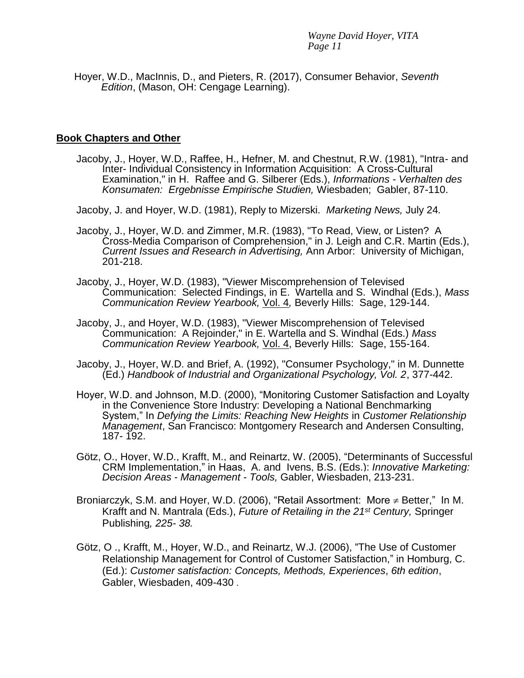Hoyer, W.D., MacInnis, D., and Pieters, R. (2017), Consumer Behavior, *Seventh Edition*, (Mason, OH: Cengage Learning).

## **Book Chapters and Other**

- Jacoby, J., Hoyer, W.D., Raffee, H., Hefner, M. and Chestnut, R.W. (1981), "Intra- and Inter- Individual Consistency in Information Acquisition: A Cross-Cultural Examination," in H. Raffee and G. Silberer (Eds.), *Informations - Verhalten des Konsumaten: Ergebnisse Empirische Studien,* Wiesbaden; Gabler, 87-110.
- Jacoby, J. and Hoyer, W.D. (1981), Reply to Mizerski. *Marketing News,* July 24*.*
- Jacoby, J., Hoyer, W.D. and Zimmer, M.R. (1983), "To Read, View, or Listen? A Cross-Media Comparison of Comprehension," in J. Leigh and C.R. Martin (Eds.), *Current Issues and Research in Advertising,* Ann Arbor: University of Michigan, 201-218.
- Jacoby, J., Hoyer, W.D. (1983), "Viewer Miscomprehension of Televised Communication: Selected Findings, in E. Wartella and S. Windhal (Eds.), *Mass Communication Review Yearbook,* Vol. 4*,* Beverly Hills: Sage, 129-144.
- Jacoby, J., and Hoyer, W.D. (1983), "Viewer Miscomprehension of Televised Communication: A Rejoinder," in E. Wartella and S. Windhal (Eds.) *Mass Communication Review Yearbook,* Vol. 4, Beverly Hills: Sage, 155-164.
- Jacoby, J., Hoyer, W.D. and Brief, A. (1992), "Consumer Psychology," in M. Dunnette (Ed.) *Handbook of Industrial and Organizational Psychology, Vol. 2*, 377-442.
- Hoyer, W.D. and Johnson, M.D. (2000), "Monitoring Customer Satisfaction and Loyalty in the Convenience Store Industry: Developing a National Benchmarking System," In *Defying the Limits: Reaching New Heights* in *Customer Relationship Management*, San Francisco: Montgomery Research and Andersen Consulting, 187- 192.
- Götz, O., Hoyer, W.D., Krafft, M., and Reinartz, W. (2005), "Determinants of Successful CRM Implementation," in Haas, A. and Ivens, B.S. (Eds.): *Innovative Marketing: Decision Areas - Management - Tools,* Gabler, Wiesbaden, 213-231.
- Broniarczyk, S.M. and Hoyer, W.D. (2006), "Retail Assortment: More  $\neq$  Better," In M. Krafft and N. Mantrala (Eds.), *Future of Retailing in the 21st Century,* Springer Publishing*, 225- 38.*
- Götz, O ., Krafft, M., Hoyer, W.D., and Reinartz, W.J. (2006), "The Use of Customer Relationship Management for Control of Customer Satisfaction," in Homburg, C. (Ed.): *Customer satisfaction: Concepts, Methods, Experiences*, *6th edition*, Gabler, Wiesbaden, 409-430 .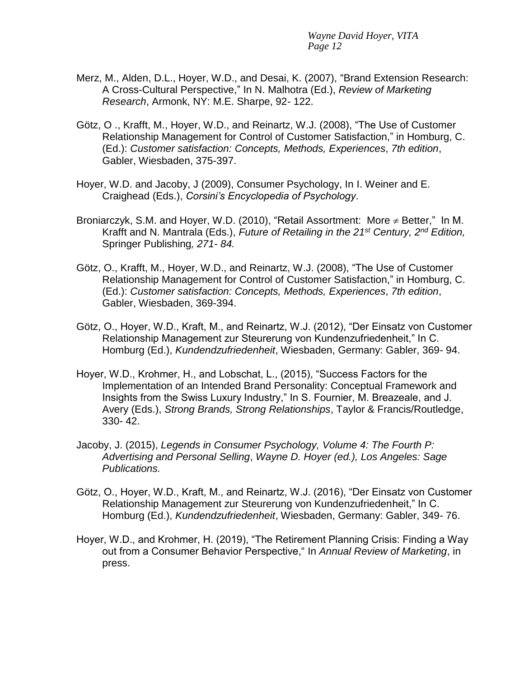- Merz, M., Alden, D.L., Hoyer, W.D., and Desai, K. (2007), "Brand Extension Research: A Cross-Cultural Perspective," In N. Malhotra (Ed.), *Review of Marketing Research*, Armonk, NY: M.E. Sharpe, 92- 122.
- Götz, O ., Krafft, M., Hoyer, W.D., and Reinartz, W.J. (2008), "The Use of Customer Relationship Management for Control of Customer Satisfaction," in Homburg, C. (Ed.): *Customer satisfaction: Concepts, Methods, Experiences*, *7th edition*, Gabler, Wiesbaden, 375-397.
- Hoyer, W.D. and Jacoby, J (2009), Consumer Psychology, In I. Weiner and E. Craighead (Eds.), *Corsini's Encyclopedia of Psychology*.
- Broniarczyk, S.M. and Hoyer, W.D. (2010), "Retail Assortment: More  $\neq$  Better," In M. Krafft and N. Mantrala (Eds.), *Future of Retailing in the 21st Century, 2nd Edition,*  Springer Publishing*, 271- 84.*
- Götz, O., Krafft, M., Hoyer, W.D., and Reinartz, W.J. (2008), "The Use of Customer Relationship Management for Control of Customer Satisfaction," in Homburg, C. (Ed.): *Customer satisfaction: Concepts, Methods, Experiences*, *7th edition*, Gabler, Wiesbaden, 369-394.
- Götz, O., Hoyer, W.D., Kraft, M., and Reinartz, W.J. (2012), "Der Einsatz von Customer Relationship Management zur Steurerung von Kundenzufriedenheit," In C. Homburg (Ed.), *Kundendzufriedenheit*, Wiesbaden, Germany: Gabler, 369- 94.
- Hoyer, W.D., Krohmer, H., and Lobschat, L., (2015), "Success Factors for the Implementation of an Intended Brand Personality: Conceptual Framework and Insights from the Swiss Luxury Industry," In S. Fournier, M. Breazeale, and J. Avery (Eds.), *Strong Brands, Strong Relationships*, Taylor & Francis/Routledge, 330- 42.
- Jacoby, J. (2015), *Legends in Consumer Psychology, Volume 4: The Fourth P: Advertising and Personal Selling*, *Wayne D. Hoyer (ed.), Los Angeles: Sage Publications.*
- Götz, O., Hoyer, W.D., Kraft, M., and Reinartz, W.J. (2016), "Der Einsatz von Customer Relationship Management zur Steurerung von Kundenzufriedenheit," In C. Homburg (Ed.), *Kundendzufriedenheit*, Wiesbaden, Germany: Gabler, 349- 76.
- Hoyer, W.D., and Krohmer, H. (2019), "The Retirement Planning Crisis: Finding a Way out from a Consumer Behavior Perspective," In *Annual Review of Marketing*, in press.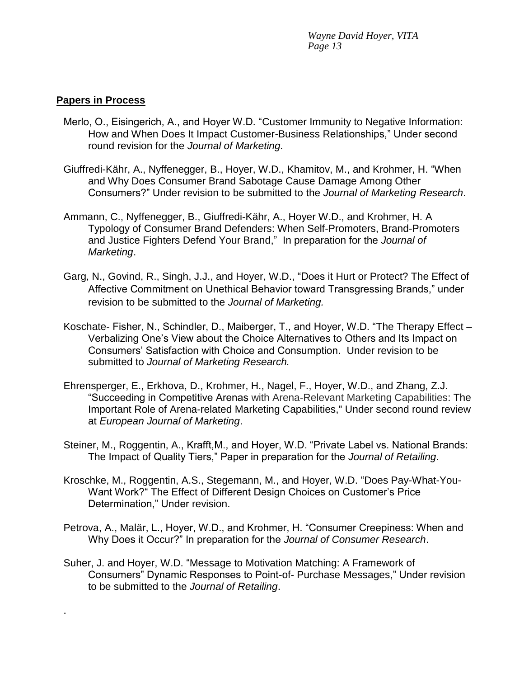## **Papers in Process**

.

- Merlo, O., Eisingerich, A., and Hoyer W.D. "Customer Immunity to Negative Information: How and When Does It Impact Customer-Business Relationships," Under second round revision for the *Journal of Marketing.*
- Giuffredi-Kähr, A., Nyffenegger, B., Hoyer, W.D., Khamitov, M., and Krohmer, H. "When and Why Does Consumer Brand Sabotage Cause Damage Among Other Consumers?" Under revision to be submitted to the *Journal of Marketing Research*.
- Ammann, C., Nyffenegger, B., Giuffredi-Kähr, A., Hoyer W.D., and Krohmer, H. A Typology of Consumer Brand Defenders: When Self-Promoters, Brand-Promoters and Justice Fighters Defend Your Brand," In preparation for the *Journal of Marketing*.
- Garg, N., Govind, R., Singh, J.J., and Hoyer, W.D., "Does it Hurt or Protect? The Effect of Affective Commitment on Unethical Behavior toward Transgressing Brands," under revision to be submitted to the *Journal of Marketing.*
- Koschate- Fisher, N., Schindler, D., Maiberger, T., and Hoyer, W.D. "The Therapy Effect Verbalizing One's View about the Choice Alternatives to Others and Its Impact on Consumers' Satisfaction with Choice and Consumption. Under revision to be submitted to *Journal of Marketing Research.*
- Ehrensperger, E., Erkhova, D., Krohmer, H., Nagel, F., Hoyer, W.D., and Zhang, Z.J. "Succeeding in Competitive Arenas with Arena-Relevant Marketing Capabilities: The Important Role of Arena-related Marketing Capabilities," Under second round review at *European Journal of Marketing*.
- Steiner, M., Roggentin, A., Krafft,M., and Hoyer, W.D. "Private Label vs. National Brands: The Impact of Quality Tiers," Paper in preparation for the *Journal of Retailing*.
- Kroschke, M., Roggentin, A.S., Stegemann, M., and Hoyer, W.D. "Does Pay-What-You-Want Work?" The Effect of Different Design Choices on Customer's Price Determination," Under revision.
- Petrova, A., Malär, L., Hoyer, W.D., and Krohmer, H. "Consumer Creepiness: When and Why Does it Occur?" In preparation for the *Journal of Consumer Research*.
- Suher, J. and Hoyer, W.D. "Message to Motivation Matching: A Framework of Consumers" Dynamic Responses to Point-of- Purchase Messages," Under revision to be submitted to the *Journal of Retailing*.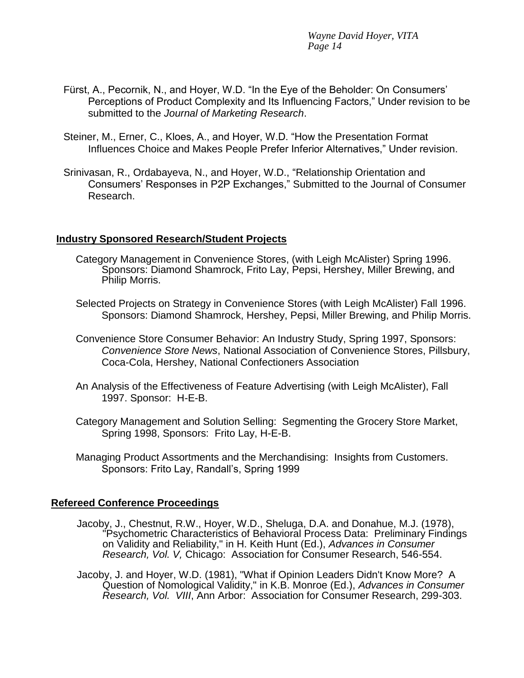- Fürst, A., Pecornik, N., and Hoyer, W.D. "In the Eye of the Beholder: On Consumers' Perceptions of Product Complexity and Its Influencing Factors," Under revision to be submitted to the *Journal of Marketing Research*.
- Steiner, M., Erner, C., Kloes, A., and Hoyer, W.D. "How the Presentation Format Influences Choice and Makes People Prefer Inferior Alternatives," Under revision.
- Srinivasan, R., Ordabayeva, N., and Hoyer, W.D., "Relationship Orientation and Consumers' Responses in P2P Exchanges," Submitted to the Journal of Consumer Research.

## **Industry Sponsored Research/Student Projects**

- Category Management in Convenience Stores, (with Leigh McAlister) Spring 1996. Sponsors: Diamond Shamrock, Frito Lay, Pepsi, Hershey, Miller Brewing, and Philip Morris.
- Selected Projects on Strategy in Convenience Stores (with Leigh McAlister) Fall 1996. Sponsors: Diamond Shamrock, Hershey, Pepsi, Miller Brewing, and Philip Morris.
- Convenience Store Consumer Behavior: An Industry Study, Spring 1997, Sponsors: *Convenience Store News*, National Association of Convenience Stores, Pillsbury, Coca-Cola, Hershey, National Confectioners Association
- An Analysis of the Effectiveness of Feature Advertising (with Leigh McAlister), Fall 1997. Sponsor: H-E-B.
- Category Management and Solution Selling: Segmenting the Grocery Store Market, Spring 1998, Sponsors: Frito Lay, H-E-B.
- Managing Product Assortments and the Merchandising: Insights from Customers. Sponsors: Frito Lay, Randall's, Spring 1999

### **Refereed Conference Proceedings**

- Jacoby, J., Chestnut, R.W., Hoyer, W.D., Sheluga, D.A. and Donahue, M.J. (1978), "Psychometric Characteristics of Behavioral Process Data: Preliminary Findings on Validity and Reliability," in H. Keith Hunt (Ed.), *Advances in Consumer Research, Vol. V,* Chicago: Association for Consumer Research, 546-554.
- Jacoby, J. and Hoyer, W.D. (1981), "What if Opinion Leaders Didn't Know More? A Question of Nomological Validity," in K.B. Monroe (Ed.), *Advances in Consumer Research, Vol. VIII*, Ann Arbor: Association for Consumer Research, 299-303.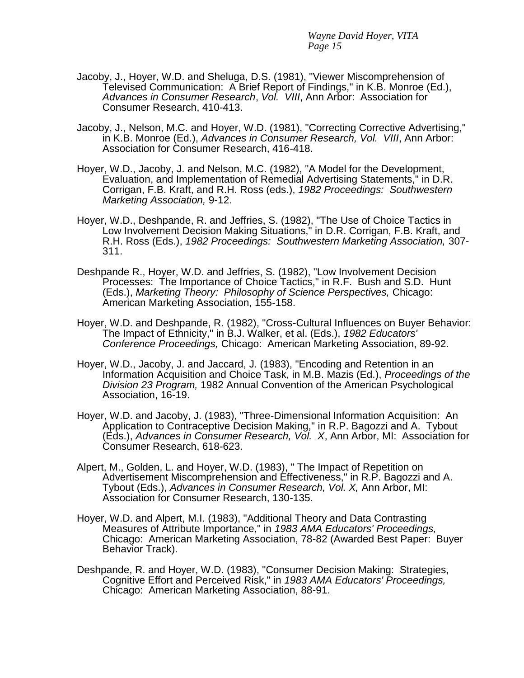- Jacoby, J., Hoyer, W.D. and Sheluga, D.S. (1981), "Viewer Miscomprehension of Televised Communication: A Brief Report of Findings," in K.B. Monroe (Ed.), *Advances in Consumer Research*, *Vol. VIII*, Ann Arbor: Association for Consumer Research, 410-413.
- Jacoby, J., Nelson, M.C. and Hoyer, W.D. (1981), "Correcting Corrective Advertising," in K.B. Monroe (Ed.), *Advances in Consumer Research, Vol. VIII*, Ann Arbor: Association for Consumer Research, 416-418.
- Hoyer, W.D., Jacoby, J. and Nelson, M.C. (1982), "A Model for the Development, Evaluation, and Implementation of Remedial Advertising Statements," in D.R. Corrigan, F.B. Kraft, and R.H. Ross (eds.), *1982 Proceedings: Southwestern Marketing Association,* 9-12.
- Hoyer, W.D., Deshpande, R. and Jeffries, S. (1982), "The Use of Choice Tactics in Low Involvement Decision Making Situations," in D.R. Corrigan, F.B. Kraft, and R.H. Ross (Eds.), *1982 Proceedings: Southwestern Marketing Association,* 307- 311.
- Deshpande R., Hoyer, W.D. and Jeffries, S. (1982), "Low Involvement Decision Processes: The Importance of Choice Tactics," in R.F. Bush and S.D. Hunt (Eds.), *Marketing Theory: Philosophy of Science Perspectives,* Chicago: American Marketing Association, 155-158.
- Hoyer, W.D. and Deshpande, R. (1982), "Cross-Cultural Influences on Buyer Behavior: The Impact of Ethnicity," in B.J. Walker, et al. (Eds.), *1982 Educators' Conference Proceedings,* Chicago: American Marketing Association, 89-92.
- Hoyer, W.D., Jacoby, J. and Jaccard, J. (1983), "Encoding and Retention in an Information Acquisition and Choice Task, in M.B. Mazis (Ed.), *Proceedings of the Division 23 Program,* 1982 Annual Convention of the American Psychological Association, 16-19.
- Hoyer, W.D. and Jacoby, J. (1983), "Three-Dimensional Information Acquisition: An Application to Contraceptive Decision Making," in R.P. Bagozzi and A. Tybout (Eds.), *Advances in Consumer Research, Vol. X*, Ann Arbor, MI: Association for Consumer Research, 618-623.
- Alpert, M., Golden, L. and Hoyer, W.D. (1983), " The Impact of Repetition on Advertisement Miscomprehension and Effectiveness," in R.P. Bagozzi and A. Tybout (Eds.), *Advances in Consumer Research, Vol. X,* Ann Arbor, MI: Association for Consumer Research, 130-135.
- Hoyer, W.D. and Alpert, M.I. (1983), "Additional Theory and Data Contrasting Measures of Attribute Importance," in *1983 AMA Educators' Proceedings,* Chicago: American Marketing Association, 78-82 (Awarded Best Paper: Buyer Behavior Track).
- Deshpande, R. and Hoyer, W.D. (1983), "Consumer Decision Making: Strategies, Cognitive Effort and Perceived Risk," in *1983 AMA Educators' Proceedings,* Chicago: American Marketing Association, 88-91.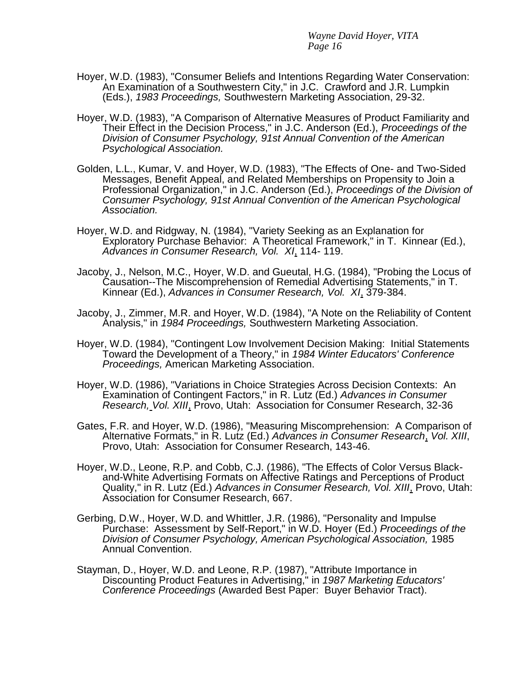- Hoyer, W.D. (1983), "Consumer Beliefs and Intentions Regarding Water Conservation: An Examination of a Southwestern City," in J.C. Crawford and J.R. Lumpkin (Eds.), *1983 Proceedings,* Southwestern Marketing Association, 29-32.
- Hoyer, W.D. (1983), "A Comparison of Alternative Measures of Product Familiarity and Their Effect in the Decision Process," in J.C. Anderson (Ed.), *Proceedings of the Division of Consumer Psychology, 91st Annual Convention of the American Psychological Association.*
- Golden, L.L., Kumar, V. and Hoyer, W.D. (1983), "The Effects of One- and Two-Sided Messages, Benefit Appeal, and Related Memberships on Propensity to Join a Professional Organization," in J.C. Anderson (Ed.), *Proceedings of the Division of Consumer Psychology, 91st Annual Convention of the American Psychological Association.*
- Hoyer, W.D. and Ridgway, N. (1984), "Variety Seeking as an Explanation for Exploratory Purchase Behavior: A Theoretical Framework," in T. Kinnear (Ed.), *Advances in Consumer Research, Vol. XI*, 114- 119.
- Jacoby, J., Nelson, M.C., Hoyer, W.D. and Gueutal, H.G. (1984), "Probing the Locus of Causation--The Miscomprehension of Remedial Advertising Statements," in T. Kinnear (Ed.), *Advances in Consumer Research, Vol. XI*, 379-384.
- Jacoby, J., Zimmer, M.R. and Hoyer, W.D. (1984), "A Note on the Reliability of Content Analysis," in *1984 Proceedings,* Southwestern Marketing Association.
- Hoyer, W.D. (1984), "Contingent Low Involvement Decision Making: Initial Statements Toward the Development of a Theory," in *1984 Winter Educators' Conference Proceedings,* American Marketing Association.
- Hoyer, W.D. (1986), "Variations in Choice Strategies Across Decision Contexts: An Examination of Contingent Factors," in R. Lutz (Ed.) *Advances in Consumer Research, Vol. XIII*, Provo, Utah: Association for Consumer Research, 32-36
- Gates, F.R. and Hoyer, W.D. (1986), "Measuring Miscomprehension: A Comparison of Alternative Formats," in R. Lutz (Ed.) *Advances in Consumer Research*, *Vol. XIII*, Provo, Utah: Association for Consumer Research, 143-46.
- Hoyer, W.D., Leone, R.P. and Cobb, C.J. (1986), "The Effects of Color Versus Blackand-White Advertising Formats on Affective Ratings and Perceptions of Product Quality," in R. Lutz (Ed.) *Advances in Consumer Research, Vol. XIII*, Provo, Utah: Association for Consumer Research, 667.
- Gerbing, D.W., Hoyer, W.D. and Whittler, J.R. (1986), "Personality and Impulse Purchase: Assessment by Self-Report," in W.D. Hoyer (Ed.) *Proceedings of the Division of Consumer Psychology, American Psychological Association,* 1985 Annual Convention.
- Stayman, D., Hoyer, W.D. and Leone, R.P. (1987), "Attribute Importance in Discounting Product Features in Advertising," in *1987 Marketing Educators' Conference Proceedings* (Awarded Best Paper: Buyer Behavior Tract).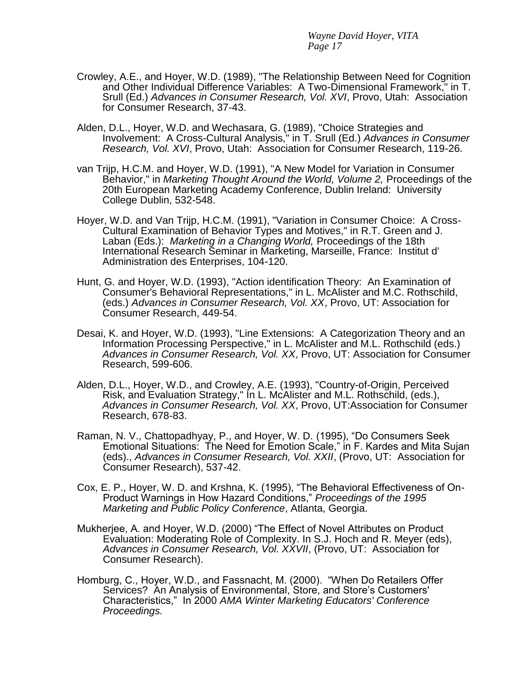- Crowley, A.E., and Hoyer, W.D. (1989), "The Relationship Between Need for Cognition and Other Individual Difference Variables: A Two-Dimensional Framework," in T. Srull (Ed.) *Advances in Consumer Research, Vol. XVI*, Provo, Utah: Association for Consumer Research, 37-43.
- Alden, D.L., Hoyer, W.D. and Wechasara, G. (1989), "Choice Strategies and Involvement: A Cross-Cultural Analysis," in T. Srull (Ed.) *Advances in Consumer Research, Vol. XVI*, Provo, Utah: Association for Consumer Research, 119-26.
- van Trijp, H.C.M. and Hoyer, W.D. (1991), "A New Model for Variation in Consumer Behavior," in *Marketing Thought Around the World, Volume 2,* Proceedings of the 20th European Marketing Academy Conference, Dublin Ireland: University College Dublin, 532-548.
- Hoyer, W.D. and Van Trijp, H.C.M. (1991), "Variation in Consumer Choice: A Cross-Cultural Examination of Behavior Types and Motives," in R.T. Green and J. Laban (Eds.): *Marketing in a Changing World,* Proceedings of the 18th International Research Seminar in Marketing, Marseille, France: Institut d' Administration des Enterprises, 104-120.
- Hunt, G. and Hoyer, W.D. (1993), "Action identification Theory: An Examination of Consumer's Behavioral Representations," in L. McAlister and M.C. Rothschild, (eds.) *Advances in Consumer Research, Vol. XX*, Provo, UT: Association for Consumer Research, 449-54.
- Desai, K. and Hoyer, W.D. (1993), "Line Extensions: A Categorization Theory and an Information Processing Perspective," in L. McAlister and M.L. Rothschild (eds.) *Advances in Consumer Research, Vol. XX*, Provo, UT: Association for Consumer Research, 599-606.
- Alden, D.L., Hoyer, W.D., and Crowley, A.E. (1993), "Country-of-Origin, Perceived Risk, and Evaluation Strategy," In L. McAlister and M.L. Rothschild, (eds.), *Advances in Consumer Research, Vol. XX*, Provo, UT:Association for Consumer Research, 678-83.
- Raman, N. V., Chattopadhyay, P., and Hoyer, W. D. (1995), "Do Consumers Seek Emotional Situations: The Need for Emotion Scale," in F. Kardes and Mita Sujan (eds)., *Advances in Consumer Research, Vol. XXII*, (Provo, UT: Association for Consumer Research), 537-42.
- Cox, E. P., Hoyer, W. D. and Krshna, K. (1995), "The Behavioral Effectiveness of On-Product Warnings in How Hazard Conditions," *Proceedings of the 1995 Marketing and Public Policy Conference*, Atlanta, Georgia.
- Mukherjee, A. and Hoyer, W.D. (2000) "The Effect of Novel Attributes on Product Evaluation: Moderating Role of Complexity. In S.J. Hoch and R. Meyer (eds), *Advances in Consumer Research, Vol. XXVII*, (Provo, UT: Association for Consumer Research).
- Homburg, C., Hoyer, W.D., and Fassnacht, M. (2000). "When Do Retailers Offer Services? An Analysis of Environmental, Store, and Store's Customers' Characteristics," In 2000 *AMA Winter Marketing Educators' Conference Proceedings.*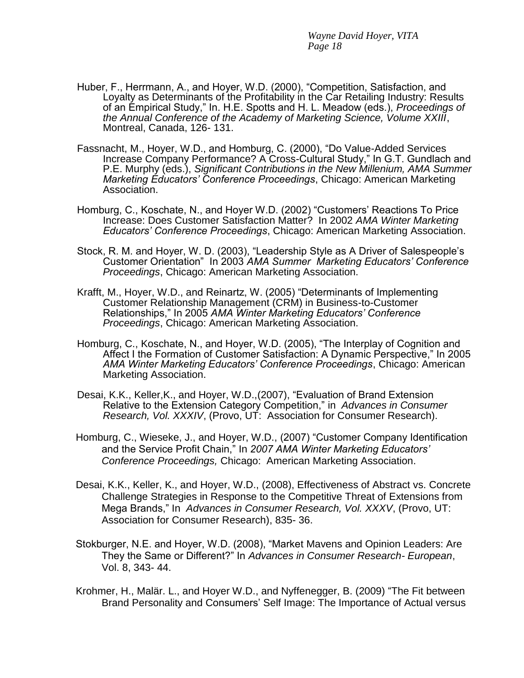- Huber, F., Herrmann, A., and Hoyer, W.D. (2000), "Competition, Satisfaction, and Loyalty as Determinants of the Profitability in the Car Retailing Industry: Results of an Empirical Study," In. H.E. Spotts and H. L. Meadow (eds.), *Proceedings of the Annual Conference of the Academy of Marketing Science, Volume XXIII*, Montreal, Canada, 126- 131.
- Fassnacht, M., Hoyer, W.D., and Homburg, C. (2000), "Do Value-Added Services Increase Company Performance? A Cross-Cultural Study," In G.T. Gundlach and P.E. Murphy (eds.), *Significant Contributions in the New Millenium, AMA Summer Marketing Educators' Conference Proceedings*, Chicago: American Marketing Association.
- Homburg, C., Koschate, N., and Hoyer W.D. (2002) "Customers' Reactions To Price Increase: Does Customer Satisfaction Matter? In 2002 *AMA Winter Marketing Educators' Conference Proceedings*, Chicago: American Marketing Association.
- Stock, R. M. and Hoyer, W. D. (2003), "Leadership Style as A Driver of Salespeople's Customer Orientation" In 2003 *AMA Summer Marketing Educators' Conference Proceedings*, Chicago: American Marketing Association.
- Krafft, M., Hoyer, W.D., and Reinartz, W. (2005) "Determinants of Implementing Customer Relationship Management (CRM) in Business-to-Customer Relationships," In 2005 *AMA Winter Marketing Educators' Conference Proceedings*, Chicago: American Marketing Association.
- Homburg, C., Koschate, N., and Hoyer, W.D. (2005), "The Interplay of Cognition and Affect I the Formation of Customer Satisfaction: A Dynamic Perspective," In 2005 *AMA Winter Marketing Educators' Conference Proceedings*, Chicago: American Marketing Association.
- Desai, K.K., Keller,K., and Hoyer, W.D.,(2007), "Evaluation of Brand Extension Relative to the Extension Category Competition," in *Advances in Consumer Research, Vol. XXXIV*, (Provo, UT: Association for Consumer Research).
- Homburg, C., Wieseke, J., and Hoyer, W.D., (2007) "Customer Company Identification and the Service Profit Chain," In *2007 AMA Winter Marketing Educators' Conference Proceedings,* Chicago: American Marketing Association.
- Desai, K.K., Keller, K., and Hoyer, W.D., (2008), Effectiveness of Abstract vs. Concrete Challenge Strategies in Response to the Competitive Threat of Extensions from Mega Brands," In *Advances in Consumer Research, Vol. XXXV*, (Provo, UT: Association for Consumer Research), 835- 36.
- Stokburger, N.E. and Hoyer, W.D. (2008), "Market Mavens and Opinion Leaders: Are They the Same or Different?" In *Advances in Consumer Research- European*, Vol. 8, 343- 44.
- Krohmer, H., Malär. L., and Hoyer W.D., and Nyffenegger, B. (2009) "The Fit between Brand Personality and Consumers' Self Image: The Importance of Actual versus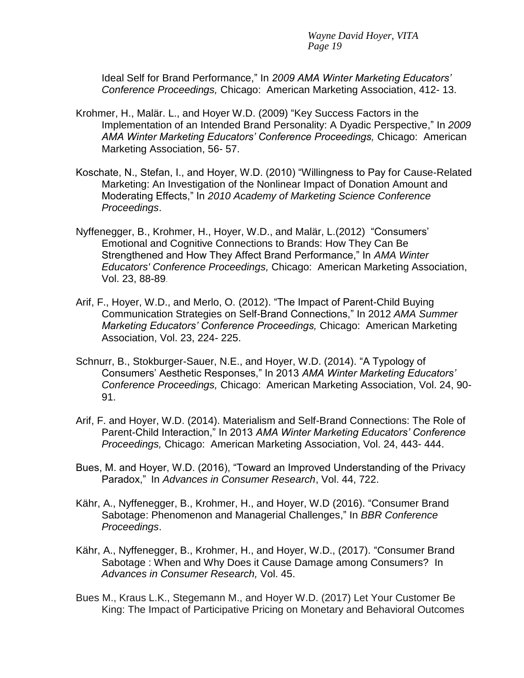Ideal Self for Brand Performance," In *2009 AMA Winter Marketing Educators' Conference Proceedings,* Chicago: American Marketing Association, 412- 13.

- Krohmer, H., Malär. L., and Hoyer W.D. (2009) "Key Success Factors in the Implementation of an Intended Brand Personality: A Dyadic Perspective," In *2009 AMA Winter Marketing Educators' Conference Proceedings,* Chicago: American Marketing Association, 56- 57.
- Koschate, N., Stefan, I., and Hoyer, W.D. (2010) "Willingness to Pay for Cause-Related Marketing: An Investigation of the Nonlinear Impact of Donation Amount and Moderating Effects," In *2010 Academy of Marketing Science Conference Proceedings*.
- Nyffenegger, B., Krohmer, H., Hoyer, W.D., and Malär, L.(2012) "Consumers' Emotional and Cognitive Connections to Brands: How They Can Be Strengthened and How They Affect Brand Performance," In *AMA Winter Educators' Conference Proceedings,* Chicago: American Marketing Association, Vol. 23, 88-89.
- Arif, F., Hoyer, W.D., and Merlo, O. (2012). "The Impact of Parent-Child Buying Communication Strategies on Self-Brand Connections," In 2012 *AMA Summer Marketing Educators' Conference Proceedings,* Chicago: American Marketing Association, Vol. 23, 224- 225.
- Schnurr, B., Stokburger-Sauer, N.E., and Hoyer, W.D. (2014). "A Typology of Consumers' Aesthetic Responses," In 2013 *AMA Winter Marketing Educators' Conference Proceedings,* Chicago: American Marketing Association, Vol. 24, 90- 91.
- Arif, F. and Hoyer, W.D. (2014). Materialism and Self-Brand Connections: The Role of Parent-Child Interaction," In 2013 *AMA Winter Marketing Educators' Conference Proceedings,* Chicago: American Marketing Association, Vol. 24, 443- 444.
- Bues, M. and Hoyer, W.D. (2016), "Toward an Improved Understanding of the Privacy Paradox," In *Advances in Consumer Research*, Vol. 44, 722.
- Kähr, A., Nyffenegger, B., Krohmer, H., and Hoyer, W.D (2016). ["Consumer Brand](https://boris.unibe.ch/86059/)  Sabotage: [Phenomenon and Managerial Challenges,"](https://boris.unibe.ch/86059/) In *BBR Conference Proceedings*.
- Kähr, A., Nyffenegger, B., Krohmer, H., and Hoyer, W.D., (2017). ["Consumer Brand](https://boris.unibe.ch/110968/)  [Sabotage : When and Why Does it Cause Damage among Consumers? I](https://boris.unibe.ch/110968/)n *Advances in Consumer Research,* Vol. 45.
- Bues M., Kraus L.K., Stegemann M., and Hoyer W.D. (2017) Let Your Customer Be King: The Impact of Participative Pricing on Monetary and Behavioral Outcomes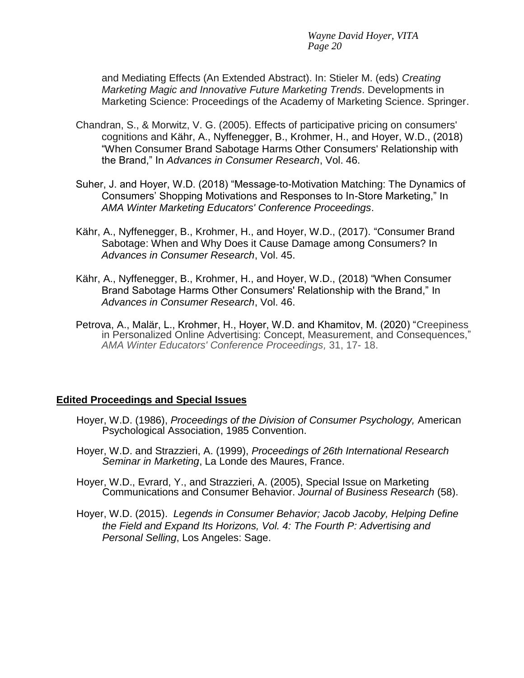and Mediating Effects (An Extended Abstract). In: Stieler M. (eds) *Creating Marketing Magic and Innovative Future Marketing Trends*. Developments in Marketing Science: Proceedings of the Academy of Marketing Science. Springer.

- Chandran, S., & Morwitz, V. G. (2005). Effects of participative pricing on consumers' cognitions and Kähr, A., Nyffenegger, B., Krohmer, H., and Hoyer, W.D., (2018) ["When Consumer Brand Sabotage Harms Other Consumers' Relationship with](https://boris.unibe.ch/119588/)  the Brand," In *[Advances in Consumer Research](https://boris.unibe.ch/119588/)*, Vol. 46.
- Suher, J. and Hoyer, W.D. (2018) "Message-to-Motivation Matching: The Dynamics of Consumers' Shopping Motivations and Responses to In-Store Marketing," In *AMA Winter Marketing Educators' Conference Proceedings*.
- Kähr, A., Nyffenegger, B., Krohmer, H., and Hoyer, W.D., (2017). ["Consumer Brand](https://boris.unibe.ch/110968/)  [Sabotage: When and Why Does it Cause Damage among Consumers? In](https://boris.unibe.ch/110968/)  *[Advances in Consumer Research](https://boris.unibe.ch/110968/)*, Vol. 45.
- Kähr, A., Nyffenegger, B., Krohmer, H., and Hoyer, W.D., (2018) ["When Consumer](https://boris.unibe.ch/119588/)  [Brand Sabotage Harms Other Consumers' Relationship with the Brand,"](https://boris.unibe.ch/119588/) In *[Advances in Consumer Research](https://boris.unibe.ch/119588/)*, Vol. 46.
- Petrova, A., Malär, L., Krohmer, H., Hoyer, W.D. and Khamitov, M. (2020) "Creepiness in Personalized Online Advertising: Concept, Measurement, and Consequences," *AMA Winter Educators' Conference Proceedings,* 31, 17- 18.

### **Edited Proceedings and Special Issues**

- Hoyer, W.D. (1986), *Proceedings of the Division of Consumer Psychology,* American Psychological Association, 1985 Convention.
- Hoyer, W.D. and Strazzieri, A. (1999), *Proceedings of 26th International Research Seminar in Marketing*, La Londe des Maures, France.
- Hoyer, W.D., Evrard, Y., and Strazzieri, A. (2005), Special Issue on Marketing Communications and Consumer Behavior. *Journal of Business Research* (58).
- Hoyer, W.D. (2015). *Legends in Consumer Behavior; Jacob Jacoby, Helping Define the Field and Expand Its Horizons, Vol. 4: The Fourth P: Advertising and Personal Selling*, Los Angeles: Sage.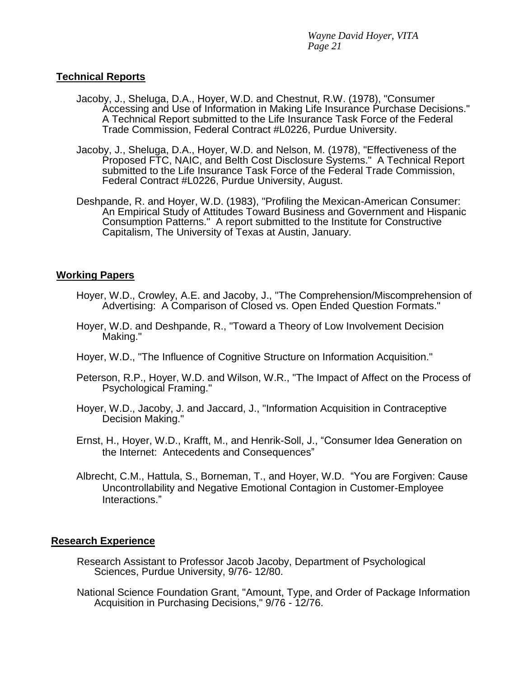### **Technical Reports**

- Jacoby, J., Sheluga, D.A., Hoyer, W.D. and Chestnut, R.W. (1978), "Consumer Accessing and Use of Information in Making Life Insurance Purchase Decisions." A Technical Report submitted to the Life Insurance Task Force of the Federal Trade Commission, Federal Contract #L0226, Purdue University.
- Jacoby, J., Sheluga, D.A., Hoyer, W.D. and Nelson, M. (1978), "Effectiveness of the Proposed FTC, NAIC, and Belth Cost Disclosure Systems." A Technical Report submitted to the Life Insurance Task Force of the Federal Trade Commission, Federal Contract #L0226, Purdue University, August.
- Deshpande, R. and Hoyer, W.D. (1983), "Profiling the Mexican-American Consumer: An Empirical Study of Attitudes Toward Business and Government and Hispanic Consumption Patterns." A report submitted to the Institute for Constructive Capitalism, The University of Texas at Austin, January.

## **Working Papers**

- Hoyer, W.D., Crowley, A.E. and Jacoby, J., "The Comprehension/Miscomprehension of Advertising: A Comparison of Closed vs. Open Ended Question Formats."
- Hoyer, W.D. and Deshpande, R., "Toward a Theory of Low Involvement Decision Making."
- Hoyer, W.D., "The Influence of Cognitive Structure on Information Acquisition."
- Peterson, R.P., Hoyer, W.D. and Wilson, W.R., "The Impact of Affect on the Process of Psychological Framing."
- Hoyer, W.D., Jacoby, J. and Jaccard, J., "Information Acquisition in Contraceptive Decision Making."
- Ernst, H., Hoyer, W.D., Krafft, M., and Henrik-Soll, J., "Consumer Idea Generation on the Internet: Antecedents and Consequences"
- Albrecht, C.M., Hattula, S., Borneman, T., and Hoyer, W.D. "You are Forgiven: Cause Uncontrollability and Negative Emotional Contagion in Customer-Employee Interactions."

### **Research Experience**

- Research Assistant to Professor Jacob Jacoby, Department of Psychological Sciences, Purdue University, 9/76- 12/80.
- National Science Foundation Grant, "Amount, Type, and Order of Package Information Acquisition in Purchasing Decisions," 9/76 - 12/76.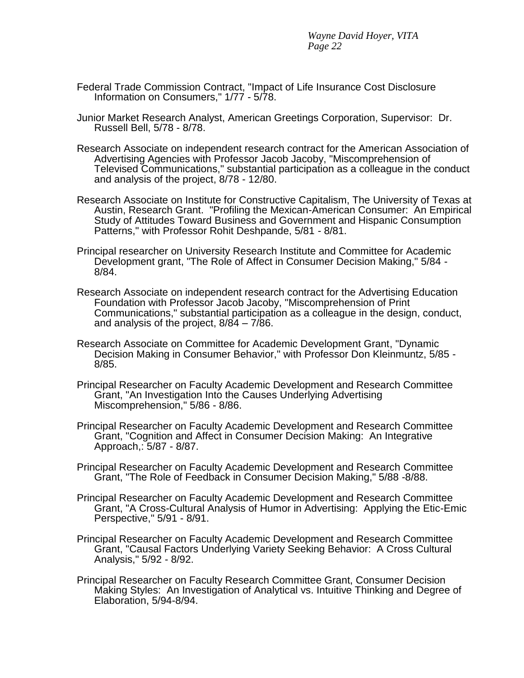- Federal Trade Commission Contract, "Impact of Life Insurance Cost Disclosure Information on Consumers," 1/77 - 5/78.
- Junior Market Research Analyst, American Greetings Corporation, Supervisor: Dr. Russell Bell, 5/78 - 8/78.
- Research Associate on independent research contract for the American Association of Advertising Agencies with Professor Jacob Jacoby, "Miscomprehension of Televised Communications," substantial participation as a colleague in the conduct and analysis of the project, 8/78 - 12/80.
- Research Associate on Institute for Constructive Capitalism, The University of Texas at Austin, Research Grant. "Profiling the Mexican-American Consumer: An Empirical Study of Attitudes Toward Business and Government and Hispanic Consumption Patterns," with Professor Rohit Deshpande, 5/81 - 8/81.
- Principal researcher on University Research Institute and Committee for Academic Development grant, "The Role of Affect in Consumer Decision Making," 5/84 - 8/84.
- Research Associate on independent research contract for the Advertising Education Foundation with Professor Jacob Jacoby, "Miscomprehension of Print Communications," substantial participation as a colleague in the design, conduct, and analysis of the project, 8/84 – 7/86.
- Research Associate on Committee for Academic Development Grant, "Dynamic Decision Making in Consumer Behavior," with Professor Don Kleinmuntz, 5/85 - 8/85.
- Principal Researcher on Faculty Academic Development and Research Committee Grant, "An Investigation Into the Causes Underlying Advertising Miscomprehension," 5/86 - 8/86.
- Principal Researcher on Faculty Academic Development and Research Committee Grant, "Cognition and Affect in Consumer Decision Making: An Integrative Approach,: 5/87 - 8/87.
- Principal Researcher on Faculty Academic Development and Research Committee Grant, "The Role of Feedback in Consumer Decision Making," 5/88 -8/88.
- Principal Researcher on Faculty Academic Development and Research Committee Grant, "A Cross-Cultural Analysis of Humor in Advertising: Applying the Etic-Emic Perspective," 5/91 - 8/91.
- Principal Researcher on Faculty Academic Development and Research Committee Grant, "Causal Factors Underlying Variety Seeking Behavior: A Cross Cultural Analysis," 5/92 - 8/92.
- Principal Researcher on Faculty Research Committee Grant, Consumer Decision Making Styles: An Investigation of Analytical vs. Intuitive Thinking and Degree of Elaboration, 5/94-8/94.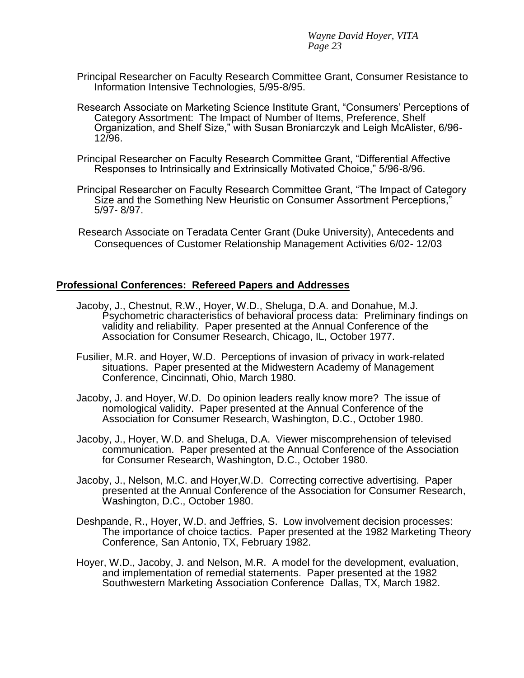- Principal Researcher on Faculty Research Committee Grant, Consumer Resistance to Information Intensive Technologies, 5/95-8/95.
- Research Associate on Marketing Science Institute Grant, "Consumers' Perceptions of Category Assortment: The Impact of Number of Items, Preference, Shelf Organization, and Shelf Size," with Susan Broniarczyk and Leigh McAlister, 6/96- 12/96.
- Principal Researcher on Faculty Research Committee Grant, "Differential Affective Responses to Intrinsically and Extrinsically Motivated Choice," 5/96-8/96.
- Principal Researcher on Faculty Research Committee Grant, "The Impact of Category Size and the Something New Heuristic on Consumer Assortment Perceptions," 5/97- 8/97.
- Research Associate on Teradata Center Grant (Duke University), Antecedents and Consequences of Customer Relationship Management Activities 6/02- 12/03

### **Professional Conferences: Refereed Papers and Addresses**

- Jacoby, J., Chestnut, R.W., Hoyer, W.D., Sheluga, D.A. and Donahue, M.J. Psychometric characteristics of behavioral process data: Preliminary findings on validity and reliability. Paper presented at the Annual Conference of the Association for Consumer Research, Chicago, IL, October 1977.
- Fusilier, M.R. and Hoyer, W.D. Perceptions of invasion of privacy in work-related situations. Paper presented at the Midwestern Academy of Management Conference, Cincinnati, Ohio, March 1980.
- Jacoby, J. and Hoyer, W.D. Do opinion leaders really know more? The issue of nomological validity. Paper presented at the Annual Conference of the Association for Consumer Research, Washington, D.C., October 1980.
- Jacoby, J., Hoyer, W.D. and Sheluga, D.A. Viewer miscomprehension of televised communication. Paper presented at the Annual Conference of the Association for Consumer Research, Washington, D.C., October 1980.
- Jacoby, J., Nelson, M.C. and Hoyer,W.D. Correcting corrective advertising. Paper presented at the Annual Conference of the Association for Consumer Research, Washington, D.C., October 1980.
- Deshpande, R., Hoyer, W.D. and Jeffries, S. Low involvement decision processes: The importance of choice tactics. Paper presented at the 1982 Marketing Theory Conference, San Antonio, TX, February 1982.
- Hoyer, W.D., Jacoby, J. and Nelson, M.R. A model for the development, evaluation, and implementation of remedial statements. Paper presented at the 1982 Southwestern Marketing Association Conference Dallas, TX, March 1982.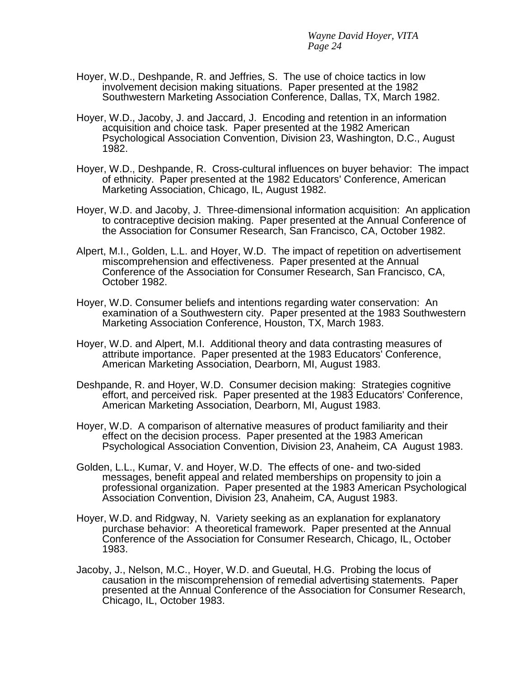- Hoyer, W.D., Deshpande, R. and Jeffries, S. The use of choice tactics in low involvement decision making situations. Paper presented at the 1982 Southwestern Marketing Association Conference, Dallas, TX, March 1982.
- Hoyer, W.D., Jacoby, J. and Jaccard, J. Encoding and retention in an information acquisition and choice task. Paper presented at the 1982 American Psychological Association Convention, Division 23, Washington, D.C., August 1982.
- Hoyer, W.D., Deshpande, R. Cross-cultural influences on buyer behavior: The impact of ethnicity. Paper presented at the 1982 Educators' Conference, American Marketing Association, Chicago, IL, August 1982.
- Hoyer, W.D. and Jacoby, J. Three-dimensional information acquisition: An application to contraceptive decision making. Paper presented at the Annual Conference of the Association for Consumer Research, San Francisco, CA, October 1982.
- Alpert, M.I., Golden, L.L. and Hoyer, W.D. The impact of repetition on advertisement miscomprehension and effectiveness. Paper presented at the Annual Conference of the Association for Consumer Research, San Francisco, CA, October 1982.
- Hoyer, W.D. Consumer beliefs and intentions regarding water conservation: An examination of a Southwestern city. Paper presented at the 1983 Southwestern Marketing Association Conference, Houston, TX, March 1983.
- Hoyer, W.D. and Alpert, M.I. Additional theory and data contrasting measures of attribute importance. Paper presented at the 1983 Educators' Conference, American Marketing Association, Dearborn, MI, August 1983.
- Deshpande, R. and Hoyer, W.D. Consumer decision making: Strategies cognitive effort, and perceived risk. Paper presented at the 1983 Educators' Conference, American Marketing Association, Dearborn, MI, August 1983.
- Hoyer, W.D. A comparison of alternative measures of product familiarity and their effect on the decision process. Paper presented at the 1983 American Psychological Association Convention, Division 23, Anaheim, CA August 1983.
- Golden, L.L., Kumar, V. and Hoyer, W.D. The effects of one- and two-sided messages, benefit appeal and related memberships on propensity to join a professional organization. Paper presented at the 1983 American Psychological Association Convention, Division 23, Anaheim, CA, August 1983.
- Hoyer, W.D. and Ridgway, N. Variety seeking as an explanation for explanatory purchase behavior: A theoretical framework. Paper presented at the Annual Conference of the Association for Consumer Research, Chicago, IL, October 1983.
- Jacoby, J., Nelson, M.C., Hoyer, W.D. and Gueutal, H.G. Probing the locus of causation in the miscomprehension of remedial advertising statements. Paper presented at the Annual Conference of the Association for Consumer Research, Chicago, IL, October 1983.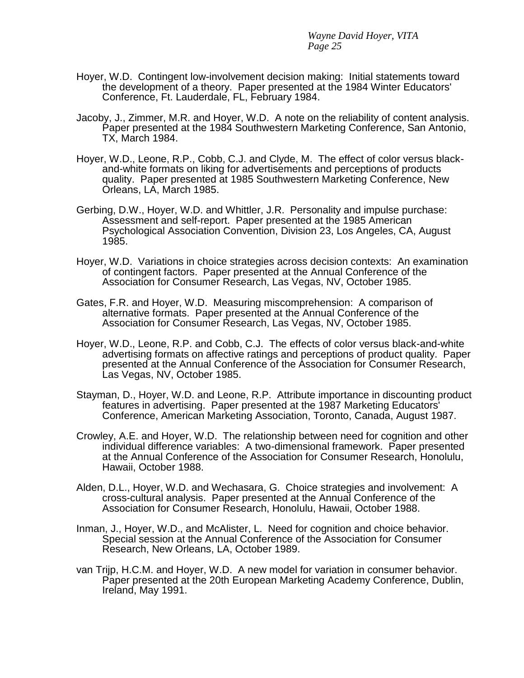- Hoyer, W.D. Contingent low-involvement decision making: Initial statements toward the development of a theory. Paper presented at the 1984 Winter Educators' Conference, Ft. Lauderdale, FL, February 1984.
- Jacoby, J., Zimmer, M.R. and Hoyer, W.D. A note on the reliability of content analysis. Paper presented at the 1984 Southwestern Marketing Conference, San Antonio, TX, March 1984.
- Hoyer, W.D., Leone, R.P., Cobb, C.J. and Clyde, M. The effect of color versus blackand-white formats on liking for advertisements and perceptions of products quality. Paper presented at 1985 Southwestern Marketing Conference, New Orleans, LA, March 1985.
- Gerbing, D.W., Hoyer, W.D. and Whittler, J.R. Personality and impulse purchase: Assessment and self-report. Paper presented at the 1985 American Psychological Association Convention, Division 23, Los Angeles, CA, August 1985.
- Hoyer, W.D. Variations in choice strategies across decision contexts: An examination of contingent factors. Paper presented at the Annual Conference of the Association for Consumer Research, Las Vegas, NV, October 1985.
- Gates, F.R. and Hoyer, W.D. Measuring miscomprehension: A comparison of alternative formats. Paper presented at the Annual Conference of the Association for Consumer Research, Las Vegas, NV, October 1985.
- Hoyer, W.D., Leone, R.P. and Cobb, C.J. The effects of color versus black-and-white advertising formats on affective ratings and perceptions of product quality. Paper presented at the Annual Conference of the Association for Consumer Research, Las Vegas, NV, October 1985.
- Stayman, D., Hoyer, W.D. and Leone, R.P. Attribute importance in discounting product features in advertising. Paper presented at the 1987 Marketing Educators' Conference, American Marketing Association, Toronto, Canada, August 1987.
- Crowley, A.E. and Hoyer, W.D. The relationship between need for cognition and other individual difference variables: A two-dimensional framework. Paper presented at the Annual Conference of the Association for Consumer Research, Honolulu, Hawaii, October 1988.
- Alden, D.L., Hoyer, W.D. and Wechasara, G. Choice strategies and involvement: A cross-cultural analysis. Paper presented at the Annual Conference of the Association for Consumer Research, Honolulu, Hawaii, October 1988.
- Inman, J., Hoyer, W.D., and McAlister, L. Need for cognition and choice behavior. Special session at the Annual Conference of the Association for Consumer Research, New Orleans, LA, October 1989.
- van Trijp, H.C.M. and Hoyer, W.D. A new model for variation in consumer behavior. Paper presented at the 20th European Marketing Academy Conference, Dublin, Ireland, May 1991.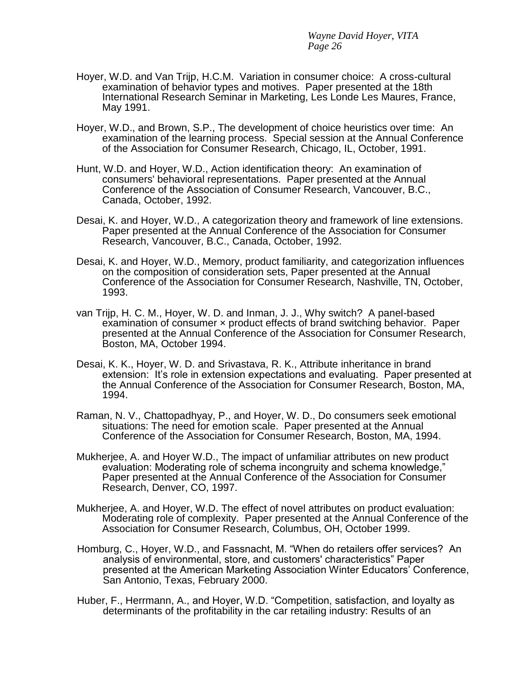- Hoyer, W.D. and Van Trijp, H.C.M. Variation in consumer choice: A cross-cultural examination of behavior types and motives. Paper presented at the 18th International Research Seminar in Marketing, Les Londe Les Maures, France, May 1991.
- Hoyer, W.D., and Brown, S.P., The development of choice heuristics over time: An examination of the learning process. Special session at the Annual Conference of the Association for Consumer Research, Chicago, IL, October, 1991.
- Hunt, W.D. and Hoyer, W.D., Action identification theory: An examination of consumers' behavioral representations. Paper presented at the Annual Conference of the Association of Consumer Research, Vancouver, B.C., Canada, October, 1992.
- Desai, K. and Hoyer, W.D., A categorization theory and framework of line extensions. Paper presented at the Annual Conference of the Association for Consumer Research, Vancouver, B.C., Canada, October, 1992.
- Desai, K. and Hoyer, W.D., Memory, product familiarity, and categorization influences on the composition of consideration sets, Paper presented at the Annual Conference of the Association for Consumer Research, Nashville, TN, October, 1993.
- van Trijp, H. C. M., Hoyer, W. D. and Inman, J. J., Why switch? A panel-based examination of consumer × product effects of brand switching behavior. Paper presented at the Annual Conference of the Association for Consumer Research, Boston, MA, October 1994.
- Desai, K. K., Hoyer, W. D. and Srivastava, R. K., Attribute inheritance in brand extension: It's role in extension expectations and evaluating. Paper presented at the Annual Conference of the Association for Consumer Research, Boston, MA, 1994.
- Raman, N. V., Chattopadhyay, P., and Hoyer, W. D., Do consumers seek emotional situations: The need for emotion scale. Paper presented at the Annual Conference of the Association for Consumer Research, Boston, MA, 1994.
- Mukherjee, A. and Hoyer W.D., The impact of unfamiliar attributes on new product evaluation: Moderating role of schema incongruity and schema knowledge," Paper presented at the Annual Conference of the Association for Consumer Research, Denver, CO, 1997.
- Mukherjee, A. and Hoyer, W.D. The effect of novel attributes on product evaluation: Moderating role of complexity. Paper presented at the Annual Conference of the Association for Consumer Research, Columbus, OH, October 1999.
- Homburg, C., Hoyer, W.D., and Fassnacht, M. "When do retailers offer services? An analysis of environmental, store, and customers' characteristics" Paper presented at the American Marketing Association Winter Educators' Conference, San Antonio, Texas, February 2000.
- Huber, F., Herrmann, A., and Hoyer, W.D. "Competition, satisfaction, and loyalty as determinants of the profitability in the car retailing industry: Results of an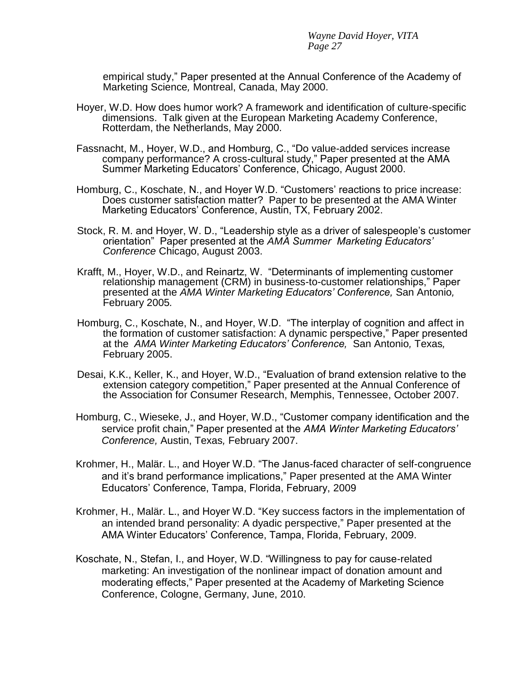empirical study," Paper presented at the Annual Conference of the Academy of Marketing Science*,* Montreal, Canada, May 2000.

- Hoyer, W.D. How does humor work? A framework and identification of culture-specific dimensions. Talk given at the European Marketing Academy Conference, Rotterdam, the Netherlands, May 2000.
- Fassnacht, M., Hoyer, W.D., and Homburg, C., "Do value-added services increase company performance? A cross-cultural study," Paper presented at the AMA Summer Marketing Educators' Conference, Chicago, August 2000.
- Homburg, C., Koschate, N., and Hoyer W.D. "Customers' reactions to price increase: Does customer satisfaction matter? Paper to be presented at the AMA Winter Marketing Educators' Conference, Austin, TX, February 2002.
- Stock, R. M. and Hoyer, W. D., "Leadership style as a driver of salespeople's customer orientation" Paper presented at the *AMA Summer Marketing Educators' Conference* Chicago, August 2003.
- Krafft, M., Hoyer, W.D., and Reinartz, W. "Determinants of implementing customer relationship management (CRM) in business-to-customer relationships," Paper presented at the *AMA Winter Marketing Educators' Conference,* San Antonio*,*  February 2005*.*
- Homburg, C., Koschate, N., and Hoyer, W.D. "The interplay of cognition and affect in the formation of customer satisfaction: A dynamic perspective," Paper presented at the *AMA Winter Marketing Educators' Conference,* San Antonio*,* Texas*,*  February 2005.
- Desai, K.K., Keller, K., and Hoyer, W.D., "Evaluation of brand extension relative to the extension category competition," Paper presented at the Annual Conference of the Association for Consumer Research, Memphis, Tennessee, October 2007.
- Homburg, C., Wieseke, J., and Hoyer, W.D., "Customer company identification and the service profit chain," Paper presented at the *AMA Winter Marketing Educators' Conference,* Austin, Texas*,* February 2007.
- Krohmer, H., Malär. L., and Hoyer W.D. "The Janus-faced character of self-congruence and it's brand performance implications," Paper presented at the AMA Winter Educators' Conference, Tampa, Florida, February, 2009
- Krohmer, H., Malär. L., and Hoyer W.D. "Key success factors in the implementation of an intended brand personality: A dyadic perspective," Paper presented at the AMA Winter Educators' Conference, Tampa, Florida, February, 2009.
- Koschate, N., Stefan, I., and Hoyer, W.D. "Willingness to pay for cause-related marketing: An investigation of the nonlinear impact of donation amount and moderating effects," Paper presented at the Academy of Marketing Science Conference, Cologne, Germany, June, 2010.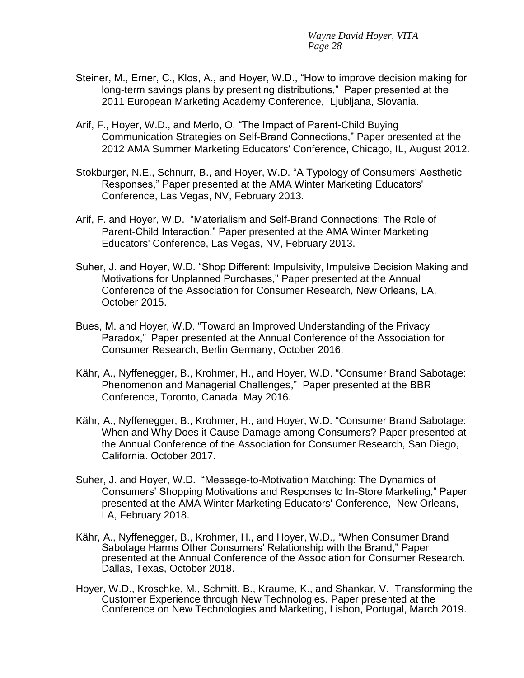- Steiner, M., Erner, C., Klos, A., and Hoyer, W.D., "How to improve decision making for long-term savings plans by presenting distributions," Paper presented at the 2011 European Marketing Academy Conference, Ljubljana, Slovania.
- Arif, F., Hoyer, W.D., and Merlo, O. "The Impact of Parent-Child Buying Communication Strategies on Self-Brand Connections," Paper presented at the 2012 AMA Summer Marketing Educators' Conference, Chicago, IL, August 2012.
- Stokburger, N.E., Schnurr, B., and Hoyer, W.D. "A Typology of Consumers' Aesthetic Responses," Paper presented at the AMA Winter Marketing Educators' Conference, Las Vegas, NV, February 2013.
- Arif, F. and Hoyer, W.D. "Materialism and Self-Brand Connections: The Role of Parent-Child Interaction," Paper presented at the AMA Winter Marketing Educators' Conference, Las Vegas, NV, February 2013.
- Suher, J. and Hoyer, W.D. "Shop Different: Impulsivity, Impulsive Decision Making and Motivations for Unplanned Purchases," Paper presented at the Annual Conference of the Association for Consumer Research, New Orleans, LA, October 2015.
- Bues, M. and Hoyer, W.D. "Toward an Improved Understanding of the Privacy Paradox," Paper presented at the Annual Conference of the Association for Consumer Research, Berlin Germany, October 2016.
- Kähr, A., Nyffenegger, B., Krohmer, H., and Hoyer, W.D. ["Consumer Brand Sabotage:](https://boris.unibe.ch/86059/) [Phenomenon and Managerial Challenges,"](https://boris.unibe.ch/86059/) Paper presented at the BBR Conference, Toronto, Canada, May 2016.
- Kähr, A., Nyffenegger, B., Krohmer, H., and Hoyer, W.D. ["Consumer Brand Sabotage:](https://boris.unibe.ch/110968/)  [When and Why Does it Cause Damage among Consumers? Paper presented at](https://boris.unibe.ch/110968/)  [the Annual Conference of the Association for C](https://boris.unibe.ch/110968/)onsumer Research, San Diego, California. October 2017.
- Suher, J. and Hoyer, W.D. "Message-to-Motivation Matching: The Dynamics of Consumers' Shopping Motivations and Responses to In-Store Marketing," Paper presented at the AMA Winter Marketing Educators' Conference, New Orleans, LA, February 2018.
- Kähr, A., Nyffenegger, B., Krohmer, H., and Hoyer, W.D., ["When Consumer Brand](https://boris.unibe.ch/119588/)  [Sabotage Harms Other Consumers' Relationship with the Brand," Paper](https://boris.unibe.ch/119588/)  [presented at t](https://boris.unibe.ch/119588/)he Annual Conference of the Association for Consumer Research. Dallas, Texas, October 2018.
- Hoyer, W.D., Kroschke, M., Schmitt, B., Kraume, K., and Shankar, V. Transforming the Customer Experience through New Technologies. Paper presented at the Conference on New Technologies and Marketing, Lisbon, Portugal, March 2019.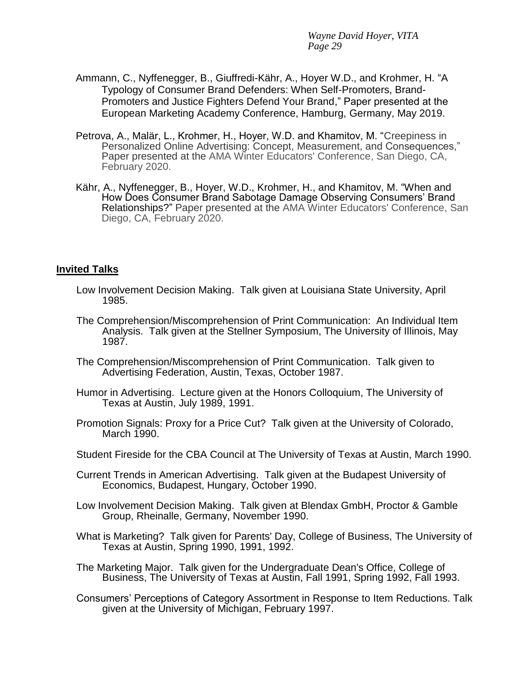- Ammann, C., Nyffenegger, B., Giuffredi-Kähr, A., Hoyer W.D., and Krohmer, H. "A Typology of Consumer Brand Defenders: When Self-Promoters, Brand-Promoters and Justice Fighters Defend Your Brand," Paper presented at the European Marketing Academy Conference, Hamburg, Germany, May 2019.
- Petrova, A., Malär, L., Krohmer, H., Hoyer, W.D. and Khamitov, M. "Creepiness in Personalized Online Advertising: Concept, Measurement, and Consequences," Paper presented at the AMA Winter Educators' Conference, San Diego, CA, February 2020.
- Kähr, A., Nyffenegger, B., Hoyer, W.D., Krohmer, H., and Khamitov, M. "When and How Does Consumer Brand Sabotage Damage Observing Consumers' Brand Relationships?" Paper presented at the AMA Winter Educators' Conference, San Diego, CA, February 2020.

### **Invited Talks**

- Low Involvement Decision Making. Talk given at Louisiana State University, April 1985.
- The Comprehension/Miscomprehension of Print Communication: An Individual Item Analysis. Talk given at the Stellner Symposium, The University of Illinois, May 1987.
- The Comprehension/Miscomprehension of Print Communication. Talk given to Advertising Federation, Austin, Texas, October 1987.
- Humor in Advertising. Lecture given at the Honors Colloquium, The University of Texas at Austin, July 1989, 1991.
- Promotion Signals: Proxy for a Price Cut? Talk given at the University of Colorado, March 1990.
- Student Fireside for the CBA Council at The University of Texas at Austin, March 1990.
- Current Trends in American Advertising. Talk given at the Budapest University of Economics, Budapest, Hungary, October 1990.
- Low Involvement Decision Making. Talk given at Blendax GmbH, Proctor & Gamble Group, Rheinalle, Germany, November 1990.
- What is Marketing? Talk given for Parents' Day, College of Business, The University of Texas at Austin, Spring 1990, 1991, 1992.
- The Marketing Major. Talk given for the Undergraduate Dean's Office, College of Business, The University of Texas at Austin, Fall 1991, Spring 1992, Fall 1993.
- Consumers' Perceptions of Category Assortment in Response to Item Reductions. Talk given at the University of Michigan, February 1997.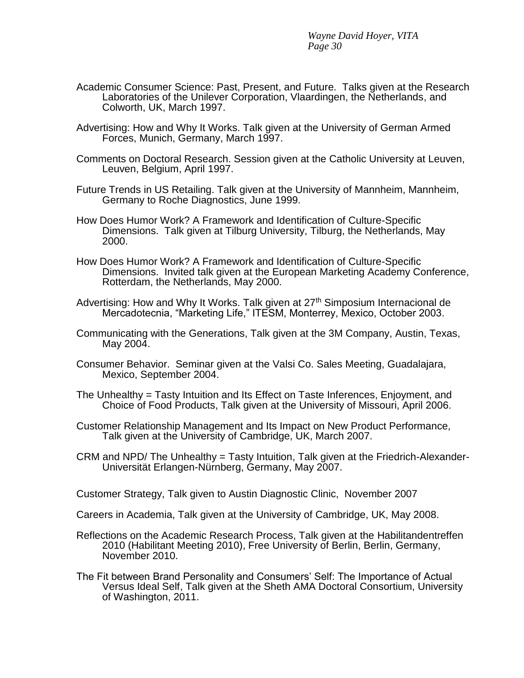- Academic Consumer Science: Past, Present, and Future. Talks given at the Research Laboratories of the Unilever Corporation, Vlaardingen, the Netherlands, and Colworth, UK, March 1997.
- Advertising: How and Why It Works. Talk given at the University of German Armed Forces, Munich, Germany, March 1997.
- Comments on Doctoral Research. Session given at the Catholic University at Leuven, Leuven, Belgium, April 1997.
- Future Trends in US Retailing. Talk given at the University of Mannheim, Mannheim, Germany to Roche Diagnostics, June 1999.
- How Does Humor Work? A Framework and Identification of Culture-Specific Dimensions. Talk given at Tilburg University, Tilburg, the Netherlands, May 2000.
- How Does Humor Work? A Framework and Identification of Culture-Specific Dimensions. Invited talk given at the European Marketing Academy Conference, Rotterdam, the Netherlands, May 2000.
- Advertising: How and Why It Works. Talk given at 27<sup>th</sup> Simposium Internacional de Mercadotecnia, "Marketing Life," ITESM, Monterrey, Mexico, October 2003.
- Communicating with the Generations, Talk given at the 3M Company, Austin, Texas, May 2004.
- Consumer Behavior. Seminar given at the Valsi Co. Sales Meeting, Guadalajara, Mexico, September 2004.
- The Unhealthy = Tasty Intuition and Its Effect on Taste Inferences, Enjoyment, and Choice of Food Products, Talk given at the University of Missouri, April 2006.
- Customer Relationship Management and Its Impact on New Product Performance, Talk given at the University of Cambridge, UK, March 2007.
- CRM and NPD/ The Unhealthy = Tasty Intuition, Talk given at the Friedrich-Alexander-Universität Erlangen-Nürnberg, Germany, May 2007.

Customer Strategy, Talk given to Austin Diagnostic Clinic, November 2007

Careers in Academia, Talk given at the University of Cambridge, UK, May 2008.

- Reflections on the Academic Research Process, Talk given at the Habilitandentreffen 2010 (Habilitant Meeting 2010), Free University of Berlin, Berlin, Germany, November 2010.
- The Fit between Brand Personality and Consumers' Self: The Importance of Actual Versus Ideal Self, Talk given at the Sheth AMA Doctoral Consortium, University of Washington, 2011.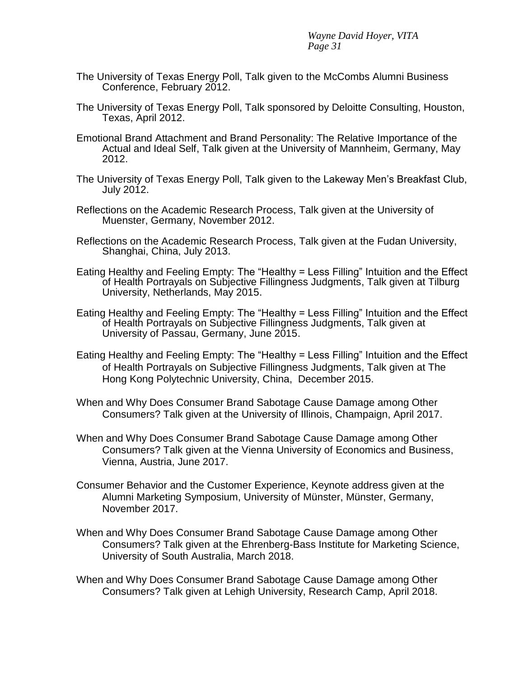- The University of Texas Energy Poll, Talk given to the McCombs Alumni Business Conference, February 2012.
- The University of Texas Energy Poll, Talk sponsored by Deloitte Consulting, Houston, Texas, April 2012.
- Emotional Brand Attachment and Brand Personality: The Relative Importance of the Actual and Ideal Self, Talk given at the University of Mannheim, Germany, May 2012.
- The University of Texas Energy Poll, Talk given to the Lakeway Men's Breakfast Club, July 2012.
- Reflections on the Academic Research Process, Talk given at the University of Muenster, Germany, November 2012.
- Reflections on the Academic Research Process, Talk given at the Fudan University, Shanghai, China, July 2013.
- Eating Healthy and Feeling Empty: The "Healthy = Less Filling" Intuition and the Effect of Health Portrayals on Subjective Fillingness Judgments, Talk given at Tilburg University, Netherlands, May 2015.
- Eating Healthy and Feeling Empty: The "Healthy = Less Filling" Intuition and the Effect of Health Portrayals on Subjective Fillingness Judgments, Talk given at University of Passau, Germany, June 2015.
- Eating Healthy and Feeling Empty: The "Healthy = Less Filling" Intuition and the Effect of Health Portrayals on Subjective Fillingness Judgments, Talk given at The Hong Kong Polytechnic University, China, December 2015.
- When and Why Does Consumer Brand Sabotage Cause Damage among Other Consumers? Talk given at the University of Illinois, Champaign, April 2017.
- When and Why Does Consumer Brand Sabotage Cause Damage among Other Consumers? Talk given at the Vienna University of Economics and Business, Vienna, Austria, June 2017.
- Consumer Behavior and the Customer Experience, Keynote address given at the Alumni Marketing Symposium, University of Münster, Münster, Germany, November 2017.
- When and Why Does Consumer Brand Sabotage Cause Damage among Other Consumers? Talk given at the Ehrenberg-Bass Institute for Marketing Science, University of South Australia, March 2018.
- When and Why Does Consumer Brand Sabotage Cause Damage among Other Consumers? Talk given at Lehigh University, Research Camp, April 2018.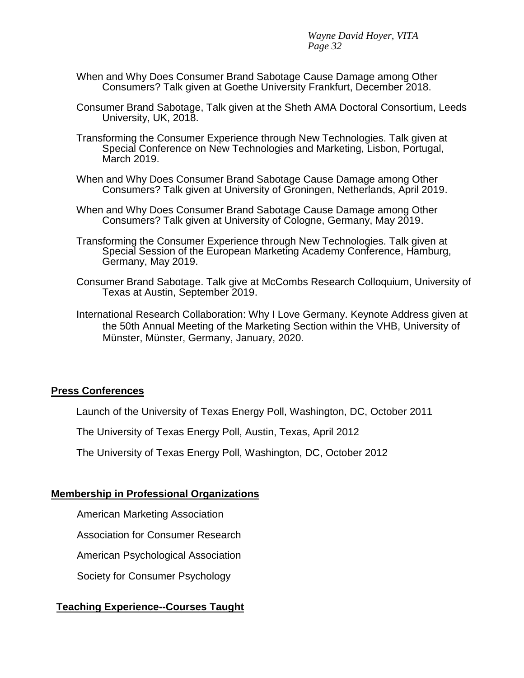- When and Why Does Consumer Brand Sabotage Cause Damage among Other Consumers? Talk given at Goethe University Frankfurt, December 2018.
- Consumer Brand Sabotage, Talk given at the Sheth AMA Doctoral Consortium, Leeds University, UK, 2018.
- Transforming the Consumer Experience through New Technologies. Talk given at Special Conference on New Technologies and Marketing, Lisbon, Portugal, March 2019.
- When and Why Does Consumer Brand Sabotage Cause Damage among Other Consumers? Talk given at University of Groningen, Netherlands, April 2019.
- When and Why Does Consumer Brand Sabotage Cause Damage among Other Consumers? Talk given at University of Cologne, Germany, May 2019.
- Transforming the Consumer Experience through New Technologies. Talk given at Special Session of the European Marketing Academy Conference, Hamburg, Germany, May 2019.
- Consumer Brand Sabotage. Talk give at McCombs Research Colloquium, University of Texas at Austin, September 2019.
- International Research Collaboration: Why I Love Germany. Keynote Address given at the 50th Annual Meeting of the Marketing Section within the VHB, University of Münster, Münster, Germany, January, 2020.

# **Press Conferences**

Launch of the University of Texas Energy Poll, Washington, DC, October 2011

The University of Texas Energy Poll, Austin, Texas, April 2012

The University of Texas Energy Poll, Washington, DC, October 2012

### **Membership in Professional Organizations**

American Marketing Association

Association for Consumer Research

American Psychological Association

Society for Consumer Psychology

# **Teaching Experience--Courses Taught**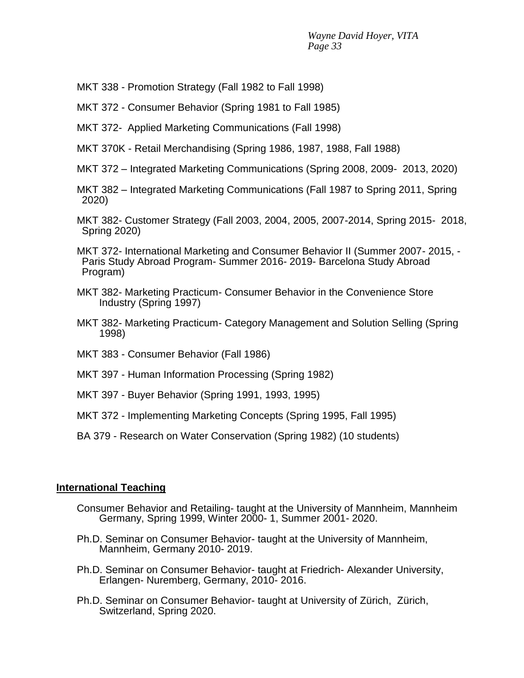- MKT 338 Promotion Strategy (Fall 1982 to Fall 1998)
- MKT 372 Consumer Behavior (Spring 1981 to Fall 1985)
- MKT 372- Applied Marketing Communications (Fall 1998)
- MKT 370K Retail Merchandising (Spring 1986, 1987, 1988, Fall 1988)
- MKT 372 Integrated Marketing Communications (Spring 2008, 2009- 2013, 2020)
- MKT 382 Integrated Marketing Communications (Fall 1987 to Spring 2011, Spring 2020)
- MKT 382- Customer Strategy (Fall 2003, 2004, 2005, 2007-2014, Spring 2015- 2018, Spring 2020)
- MKT 372- International Marketing and Consumer Behavior II (Summer 2007- 2015, Paris Study Abroad Program- Summer 2016- 2019- Barcelona Study Abroad Program)
- MKT 382- Marketing Practicum- Consumer Behavior in the Convenience Store Industry (Spring 1997)
- MKT 382- Marketing Practicum- Category Management and Solution Selling (Spring 1998)
- MKT 383 Consumer Behavior (Fall 1986)
- MKT 397 Human Information Processing (Spring 1982)
- MKT 397 Buyer Behavior (Spring 1991, 1993, 1995)
- MKT 372 Implementing Marketing Concepts (Spring 1995, Fall 1995)
- BA 379 Research on Water Conservation (Spring 1982) (10 students)

#### **International Teaching**

- Consumer Behavior and Retailing- taught at the University of Mannheim, Mannheim Germany, Spring 1999, Winter 2000- 1, Summer 2001- 2020.
- Ph.D. Seminar on Consumer Behavior- taught at the University of Mannheim, Mannheim, Germany 2010- 2019.
- Ph.D. Seminar on Consumer Behavior- taught at Friedrich- Alexander University, Erlangen- Nuremberg, Germany, 2010- 2016.
- Ph.D. Seminar on Consumer Behavior- taught at University of Zürich, Zürich, Switzerland, Spring 2020.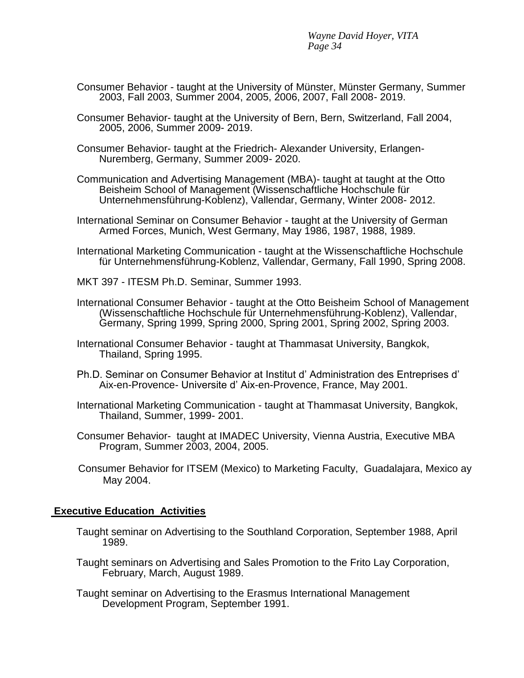- Consumer Behavior taught at the University of Münster, Münster Germany, Summer 2003, Fall 2003, Summer 2004, 2005, 2006, 2007, Fall 2008- 2019.
- Consumer Behavior- taught at the University of Bern, Bern, Switzerland, Fall 2004, 2005, 2006, Summer 2009- 2019.
- Consumer Behavior- taught at the Friedrich- Alexander University, Erlangen-Nuremberg, Germany, Summer 2009- 2020.
- Communication and Advertising Management (MBA)- taught at taught at the Otto Beisheim School of Management (Wissenschaftliche Hochschule für Unternehmensführung-Koblenz), Vallendar, Germany, Winter 2008- 2012.
- International Seminar on Consumer Behavior taught at the University of German Armed Forces, Munich, West Germany, May 1986, 1987, 1988, 1989.
- International Marketing Communication taught at the Wissenschaftliche Hochschule für Unternehmensführung-Koblenz, Vallendar, Germany, Fall 1990, Spring 2008.
- MKT 397 ITESM Ph.D. Seminar, Summer 1993.
- International Consumer Behavior taught at the Otto Beisheim School of Management (Wissenschaftliche Hochschule für Unternehmensführung-Koblenz), Vallendar, Germany, Spring 1999, Spring 2000, Spring 2001, Spring 2002, Spring 2003.
- International Consumer Behavior taught at Thammasat University, Bangkok, Thailand, Spring 1995.
- Ph.D. Seminar on Consumer Behavior at Institut d' Administration des Entreprises d' Aix-en-Provence- Universite d' Aix-en-Provence, France, May 2001.
- International Marketing Communication taught at Thammasat University, Bangkok, Thailand, Summer, 1999- 2001.
- Consumer Behavior- taught at IMADEC University, Vienna Austria, Executive MBA Program, Summer 2003, 2004, 2005.
- Consumer Behavior for ITSEM (Mexico) to Marketing Faculty, Guadalajara, Mexico ay May 2004.

#### **Executive Education Activities**

- Taught seminar on Advertising to the Southland Corporation, September 1988, April 1989.
- Taught seminars on Advertising and Sales Promotion to the Frito Lay Corporation, February, March, August 1989.
- Taught seminar on Advertising to the Erasmus International Management Development Program, September 1991.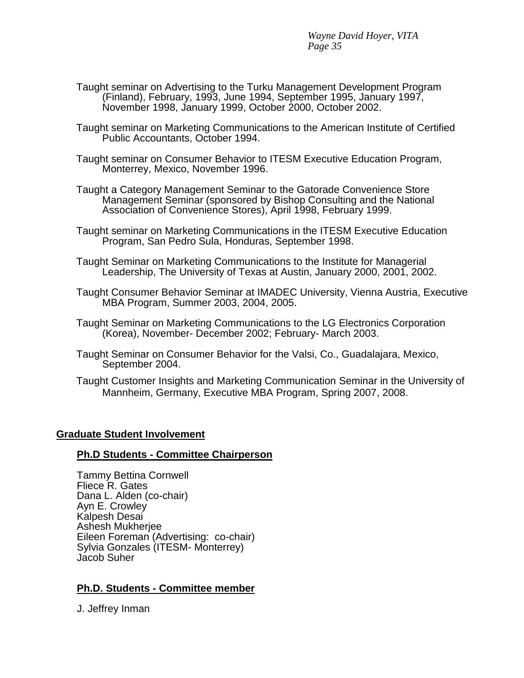- Taught seminar on Advertising to the Turku Management Development Program (Finland), February, 1993, June 1994, September 1995, January 1997, November 1998, January 1999, October 2000, October 2002.
- Taught seminar on Marketing Communications to the American Institute of Certified Public Accountants, October 1994.
- Taught seminar on Consumer Behavior to ITESM Executive Education Program, Monterrey, Mexico, November 1996.
- Taught a Category Management Seminar to the Gatorade Convenience Store Management Seminar (sponsored by Bishop Consulting and the National Association of Convenience Stores), April 1998, February 1999.
- Taught seminar on Marketing Communications in the ITESM Executive Education Program, San Pedro Sula, Honduras, September 1998.
- Taught Seminar on Marketing Communications to the Institute for Managerial Leadership, The University of Texas at Austin, January 2000, 2001, 2002.
- Taught Consumer Behavior Seminar at IMADEC University, Vienna Austria, Executive MBA Program, Summer 2003, 2004, 2005.
- Taught Seminar on Marketing Communications to the LG Electronics Corporation (Korea), November- December 2002; February- March 2003.
- Taught Seminar on Consumer Behavior for the Valsi, Co., Guadalajara, Mexico, September 2004.
- Taught Customer Insights and Marketing Communication Seminar in the University of Mannheim, Germany, Executive MBA Program, Spring 2007, 2008.

### **Graduate Student Involvement**

### **Ph.D Students - Committee Chairperson**

Tammy Bettina Cornwell Fliece R. Gates Dana L. Alden (co-chair) Ayn E. Crowley Kalpesh Desai Ashesh Mukherjee Eileen Foreman (Advertising: co-chair) Sylvia Gonzales (ITESM- Monterrey) Jacob Suher

# **Ph.D. Students - Committee member**

J. Jeffrey Inman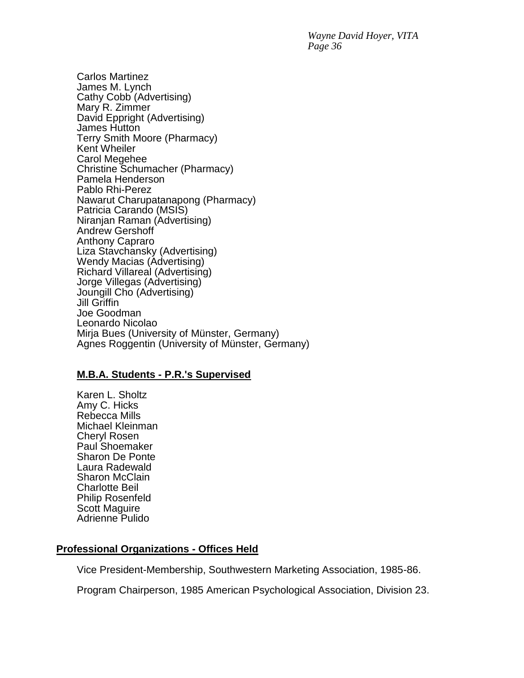Carlos Martinez James M. Lynch Cathy Cobb (Advertising) Mary R. Zimmer David Eppright (Advertising) James Hutton Terry Smith Moore (Pharmacy) Kent Wheiler Carol Megehee Christine Schumacher (Pharmacy) Pamela Henderson Pablo Rhi-Perez Nawarut Charupatanapong (Pharmacy) Patricia Carando (MSIS) Niranjan Raman (Advertising) Andrew Gershoff Anthony Capraro Liza Stavchansky (Advertising) Wendy Macias (Advertising) Richard Villareal (Advertising) Jorge Villegas (Advertising) Joungill Cho (Advertising) Jill Griffin Joe Goodman Leonardo Nicolao Mirja Bues (University of Münster, Germany) Agnes Roggentin (University of Münster, Germany)

### **M.B.A. Students - P.R.'s Supervised**

Karen L. Sholtz Amy C. Hicks Rebecca Mills Michael Kleinman Cheryl Rosen Paul Shoemaker Sharon De Ponte Laura Radewald Sharon McClain Charlotte Beil Philip Rosenfeld Scott Maguire Adrienne Pulido

### **Professional Organizations - Offices Held**

Vice President-Membership, Southwestern Marketing Association, 1985-86.

Program Chairperson, 1985 American Psychological Association, Division 23.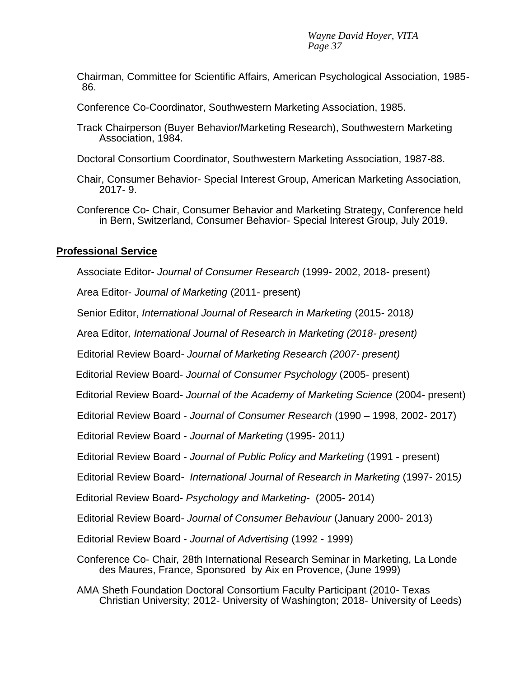Chairman, Committee for Scientific Affairs, American Psychological Association, 1985- 86.

Conference Co-Coordinator, Southwestern Marketing Association, 1985.

Track Chairperson (Buyer Behavior/Marketing Research), Southwestern Marketing Association, 1984.

Doctoral Consortium Coordinator, Southwestern Marketing Association, 1987-88.

Chair, Consumer Behavior- Special Interest Group, American Marketing Association, 2017- 9.

Conference Co- Chair, Consumer Behavior and Marketing Strategy, Conference held in Bern, Switzerland, Consumer Behavior- Special Interest Group, July 2019.

## **Professional Service**

Associate Editor- *Journal of Consumer Research* (1999- 2002, 2018- present)

Area Editor- *Journal of Marketing* (2011- present)

Senior Editor, *International Journal of Research in Marketing* (2015- 2018*)*

Area Editor*, International Journal of Research in Marketing (2018- present)*

Editorial Review Board*- Journal of Marketing Research (2007- present)*

Editorial Review Board- *Journal of Consumer Psychology* (2005- present)

Editorial Review Board- *Journal of the Academy of Marketing Science* (2004- present)

Editorial Review Board - *Journal of Consumer Research* (1990 – 1998, 2002- 2017)

Editorial Review Board - *Journal of Marketing* (1995- 2011*)*

Editorial Review Board - *Journal of Public Policy and Marketing* (1991 - present)

Editorial Review Board*- International Journal of Research in Marketing* (1997- 2015*)*

Editorial Review Board- *Psychology and Marketing*- (2005- 2014)

Editorial Review Board*- Journal of Consumer Behaviour* (January 2000- 2013)

Editorial Review Board - *Journal of Advertising* (1992 - 1999)

Conference Co- Chair*,* 28th International Research Seminar in Marketing, La Londe des Maures, France, Sponsored by Aix en Provence, (June 1999)

AMA Sheth Foundation Doctoral Consortium Faculty Participant (2010- Texas Christian University; 2012- University of Washington; 2018- University of Leeds)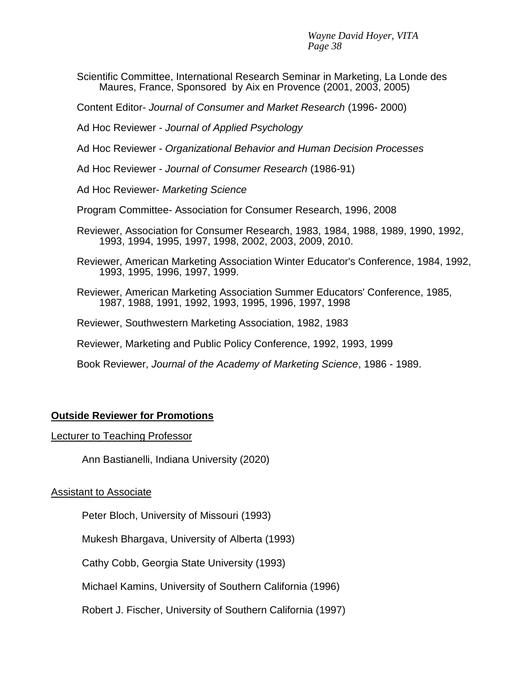- Scientific Committee, International Research Seminar in Marketing, La Londe des Maures, France, Sponsored by Aix en Provence (2001, 2003, 2005)
- Content Editor*- Journal of Consumer and Market Research* (1996- 2000)
- Ad Hoc Reviewer *Journal of Applied Psychology*
- Ad Hoc Reviewer *Organizational Behavior and Human Decision Processes*
- Ad Hoc Reviewer *Journal of Consumer Research* (1986-91)
- Ad Hoc Reviewer- *Marketing Science*
- Program Committee- Association for Consumer Research, 1996, 2008
- Reviewer, Association for Consumer Research, 1983, 1984, 1988, 1989, 1990, 1992, 1993, 1994, 1995, 1997, 1998, 2002, 2003, 2009, 2010.
- Reviewer, American Marketing Association Winter Educator's Conference, 1984, 1992, 1993, 1995, 1996, 1997, 1999.
- Reviewer, American Marketing Association Summer Educators' Conference, 1985, 1987, 1988, 1991, 1992, 1993, 1995, 1996, 1997, 1998
- Reviewer, Southwestern Marketing Association, 1982, 1983
- Reviewer, Marketing and Public Policy Conference, 1992, 1993, 1999
- Book Reviewer, *Journal of the Academy of Marketing Science*, 1986 1989.

### **Outside Reviewer for Promotions**

#### Lecturer to Teaching Professor

Ann Bastianelli, Indiana University (2020)

#### Assistant to Associate

Peter Bloch, University of Missouri (1993)

Mukesh Bhargava, University of Alberta (1993)

Cathy Cobb, Georgia State University (1993)

Michael Kamins, University of Southern California (1996)

Robert J. Fischer, University of Southern California (1997)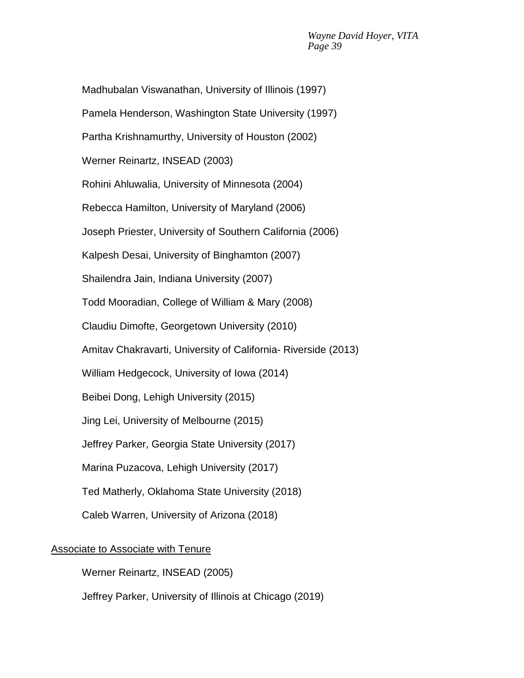Madhubalan Viswanathan, University of Illinois (1997) Pamela Henderson, Washington State University (1997) Partha Krishnamurthy, University of Houston (2002) Werner Reinartz, INSEAD (2003) Rohini Ahluwalia, University of Minnesota (2004) Rebecca Hamilton, University of Maryland (2006) Joseph Priester, University of Southern California (2006) Kalpesh Desai, University of Binghamton (2007) Shailendra Jain, Indiana University (2007) Todd Mooradian, College of William & Mary (2008) Claudiu Dimofte, Georgetown University (2010) Amitav Chakravarti, University of California- Riverside (2013) William Hedgecock, University of Iowa (2014) Beibei Dong, Lehigh University (2015) Jing Lei, University of Melbourne (2015) Jeffrey Parker, Georgia State University (2017) Marina Puzacova, Lehigh University (2017) Ted Matherly, Oklahoma State University (2018) Caleb Warren, University of Arizona (2018)

# Associate to Associate with Tenure

Werner Reinartz, INSEAD (2005)

Jeffrey Parker, University of Illinois at Chicago (2019)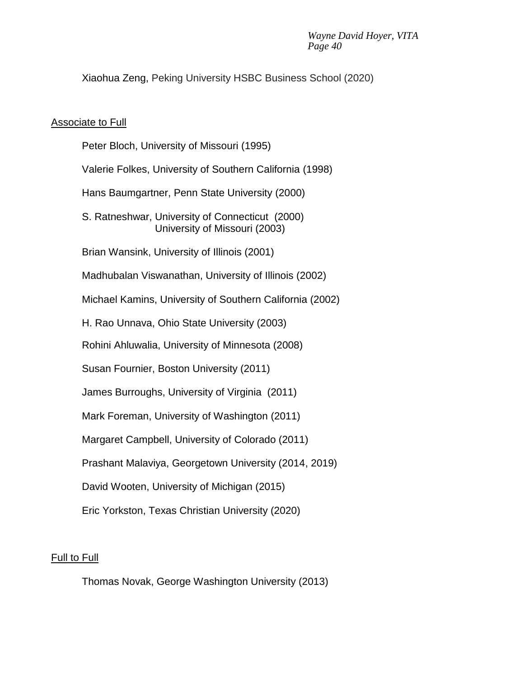Xiaohua Zeng, Peking University HSBC Business School (2020)

## Associate to Full

Peter Bloch, University of Missouri (1995) Valerie Folkes, University of Southern California (1998) Hans Baumgartner, Penn State University (2000) S. Ratneshwar, University of Connecticut (2000) University of Missouri (2003) Brian Wansink, University of Illinois (2001) Madhubalan Viswanathan, University of Illinois (2002) Michael Kamins, University of Southern California (2002) H. Rao Unnava, Ohio State University (2003) Rohini Ahluwalia, University of Minnesota (2008) Susan Fournier, Boston University (2011) James Burroughs, University of Virginia (2011) Mark Foreman, University of Washington (2011) Margaret Campbell, University of Colorado (2011) Prashant Malaviya, Georgetown University (2014, 2019) David Wooten, University of Michigan (2015) Eric Yorkston, Texas Christian University (2020)

# Full to Full

Thomas Novak, George Washington University (2013)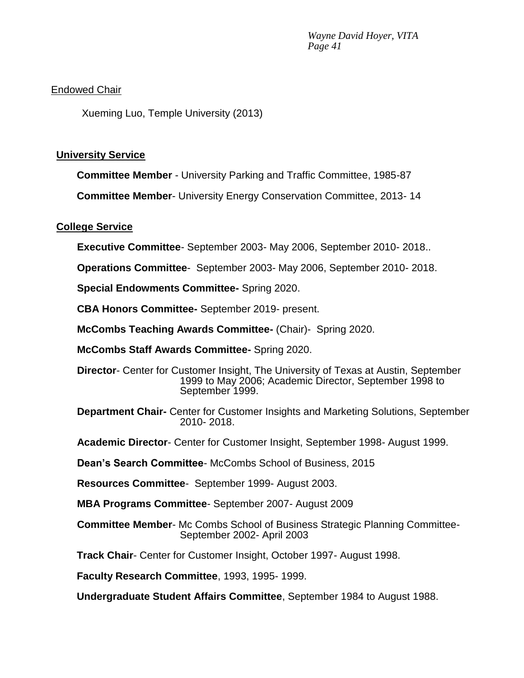# Endowed Chair

Xueming Luo, Temple University (2013)

## **University Service**

**Committee Member** - University Parking and Traffic Committee, 1985-87

**Committee Member**- University Energy Conservation Committee, 2013- 14

## **College Service**

**Executive Committee**- September 2003- May 2006, September 2010- 2018..

**Operations Committee**- September 2003- May 2006, September 2010- 2018.

**Special Endowments Committee-** Spring 2020.

**CBA Honors Committee-** September 2019- present.

**McCombs Teaching Awards Committee-** (Chair)- Spring 2020.

**McCombs Staff Awards Committee-** Spring 2020.

**Director**- Center for Customer Insight, The University of Texas at Austin, September 1999 to May 2006; Academic Director, September 1998 to September 1999.

**Department Chair-** Center for Customer Insights and Marketing Solutions, September 2010- 2018.

**Academic Director**- Center for Customer Insight, September 1998- August 1999.

**Dean's Search Committee**- McCombs School of Business, 2015

**Resources Committee**- September 1999- August 2003.

**MBA Programs Committee**- September 2007- August 2009

**Committee Member**- Mc Combs School of Business Strategic Planning Committee-September 2002- April 2003

**Track Chair**- Center for Customer Insight, October 1997- August 1998.

**Faculty Research Committee**, 1993, 1995- 1999.

**Undergraduate Student Affairs Committee**, September 1984 to August 1988.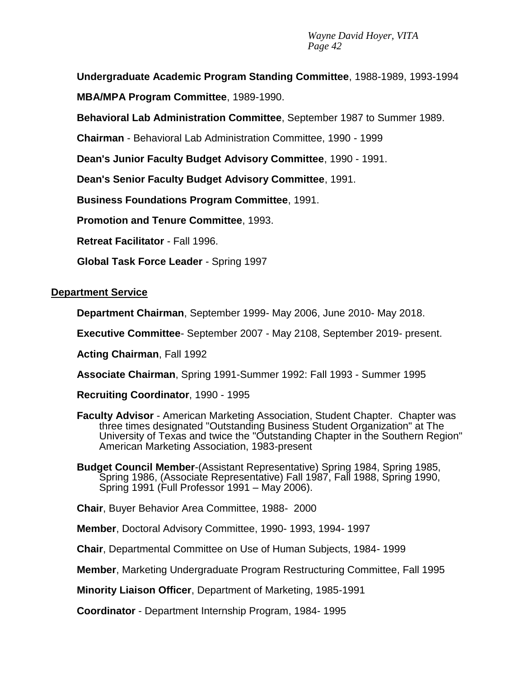**Undergraduate Academic Program Standing Committee**, 1988-1989, 1993-1994 **MBA/MPA Program Committee**, 1989-1990.

**Behavioral Lab Administration Committee**, September 1987 to Summer 1989.

**Chairman** - Behavioral Lab Administration Committee, 1990 - 1999

**Dean's Junior Faculty Budget Advisory Committee**, 1990 - 1991.

**Dean's Senior Faculty Budget Advisory Committee**, 1991.

**Business Foundations Program Committee**, 1991.

**Promotion and Tenure Committee**, 1993.

**Retreat Facilitator** - Fall 1996.

**Global Task Force Leader** - Spring 1997

**Department Service**

**Department Chairman**, September 1999- May 2006, June 2010- May 2018.

**Executive Committee**- September 2007 - May 2108, September 2019- present.

**Acting Chairman**, Fall 1992

**Associate Chairman**, Spring 1991-Summer 1992: Fall 1993 - Summer 1995

**Recruiting Coordinator**, 1990 - 1995

- **Faculty Advisor** American Marketing Association, Student Chapter. Chapter was three times designated "Outstanding Business Student Organization" at The University of Texas and twice the "Outstanding Chapter in the Southern Region" American Marketing Association, 1983-present
- **Budget Council Member**-(Assistant Representative) Spring 1984, Spring 1985, Spring 1986, (Associate Representative) Fall 1987, Fall 1988, Spring 1990, Spring 1991 (Full Professor 1991 – May 2006).

**Chair**, Buyer Behavior Area Committee, 1988- 2000

**Member**, Doctoral Advisory Committee, 1990- 1993, 1994- 1997

**Chair**, Departmental Committee on Use of Human Subjects, 1984- 1999

**Member**, Marketing Undergraduate Program Restructuring Committee, Fall 1995

**Minority Liaison Officer**, Department of Marketing, 1985-1991

**Coordinator** - Department Internship Program, 1984- 1995